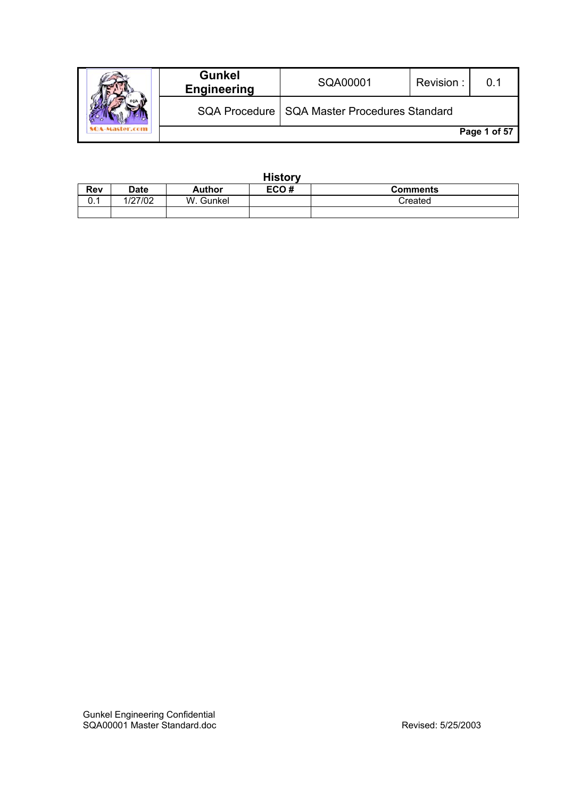|  | <b>Gunkel</b><br><b>Engineering</b> | SQA00001                                       | Revision: |              |
|--|-------------------------------------|------------------------------------------------|-----------|--------------|
|  |                                     | SQA Procedure   SQA Master Procedures Standard |           |              |
|  |                                     |                                                |           | Page 1 of 57 |

|            | <b>History</b> |               |      |                 |  |
|------------|----------------|---------------|------|-----------------|--|
| <b>Rev</b> | <b>Date</b>    | <b>Author</b> | ECO# | <b>Comments</b> |  |
| υ. ι       | 1/27/02        | W. Gunkel     |      | Created         |  |
|            |                |               |      |                 |  |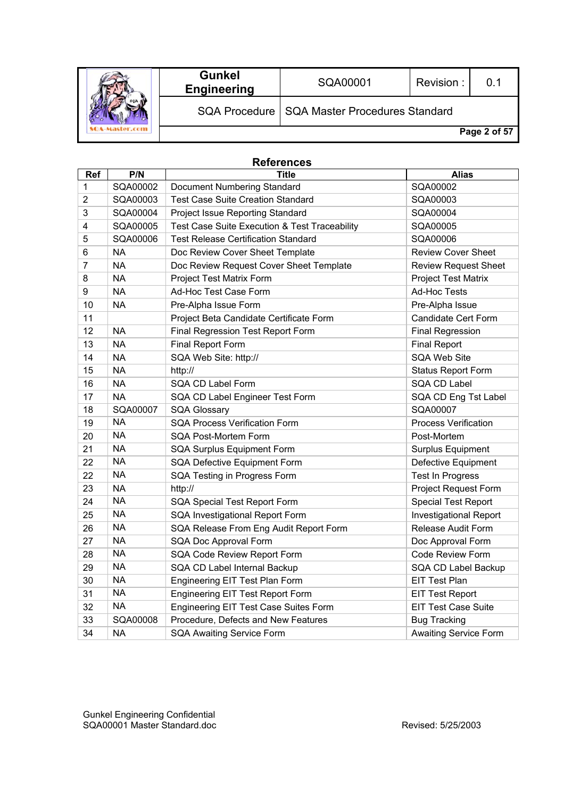|  | <b>Gunkel</b><br><b>Engineering</b> | SQA00001                                       | Revision: |              |
|--|-------------------------------------|------------------------------------------------|-----------|--------------|
|  |                                     | SQA Procedure   SQA Master Procedures Standard |           |              |
|  |                                     |                                                |           | Page 2 of 57 |

# **References**

| Ref            | P/N       | <b>Title</b>                                  | <b>Alias</b>                  |
|----------------|-----------|-----------------------------------------------|-------------------------------|
| 1              | SQA00002  | Document Numbering Standard                   | SQA00002                      |
| $\overline{2}$ | SQA00003  | <b>Test Case Suite Creation Standard</b>      | SQA00003                      |
| 3              | SQA00004  | Project Issue Reporting Standard              | SQA00004                      |
| 4              | SQA00005  | Test Case Suite Execution & Test Traceability | SQA00005                      |
| 5              | SQA00006  | <b>Test Release Certification Standard</b>    | SQA00006                      |
| 6              | <b>NA</b> | Doc Review Cover Sheet Template               | <b>Review Cover Sheet</b>     |
| $\overline{7}$ | <b>NA</b> | Doc Review Request Cover Sheet Template       | <b>Review Request Sheet</b>   |
| 8              | <b>NA</b> | Project Test Matrix Form                      | <b>Project Test Matrix</b>    |
| 9              | <b>NA</b> | Ad-Hoc Test Case Form                         | <b>Ad-Hoc Tests</b>           |
| 10             | <b>NA</b> | Pre-Alpha Issue Form                          | Pre-Alpha Issue               |
| 11             |           | Project Beta Candidate Certificate Form       | Candidate Cert Form           |
| 12             | <b>NA</b> | Final Regression Test Report Form             | <b>Final Regression</b>       |
| 13             | <b>NA</b> | Final Report Form                             | <b>Final Report</b>           |
| 14             | <b>NA</b> | SQA Web Site: http://                         | <b>SQA Web Site</b>           |
| 15             | <b>NA</b> | http://                                       | Status Report Form            |
| 16             | <b>NA</b> | SQA CD Label Form                             | <b>SQA CD Label</b>           |
| 17             | <b>NA</b> | SQA CD Label Engineer Test Form               | SQA CD Eng Tst Label          |
| 18             | SQA00007  | <b>SQA Glossary</b>                           | SQA00007                      |
| 19             | <b>NA</b> | <b>SQA Process Verification Form</b>          | <b>Process Verification</b>   |
| 20             | <b>NA</b> | SQA Post-Mortem Form                          | Post-Mortem                   |
| 21             | <b>NA</b> | SQA Surplus Equipment Form                    | Surplus Equipment             |
| 22             | <b>NA</b> | SQA Defective Equipment Form                  | Defective Equipment           |
| 22             | <b>NA</b> | SQA Testing in Progress Form                  | <b>Test In Progress</b>       |
| 23             | <b>NA</b> | http://                                       | <b>Project Request Form</b>   |
| 24             | <b>NA</b> | SQA Special Test Report Form                  | <b>Special Test Report</b>    |
| 25             | <b>NA</b> | SQA Investigational Report Form               | <b>Investigational Report</b> |
| 26             | <b>NA</b> | SQA Release From Eng Audit Report Form        | Release Audit Form            |
| 27             | <b>NA</b> | SQA Doc Approval Form                         | Doc Approval Form             |
| 28             | <b>NA</b> | SQA Code Review Report Form                   | Code Review Form              |
| 29             | <b>NA</b> | SQA CD Label Internal Backup                  | SQA CD Label Backup           |
| 30             | <b>NA</b> | Engineering EIT Test Plan Form                | <b>EIT Test Plan</b>          |
| 31             | <b>NA</b> | <b>Engineering EIT Test Report Form</b>       | <b>EIT Test Report</b>        |
| 32             | <b>NA</b> | Engineering EIT Test Case Suites Form         | <b>EIT Test Case Suite</b>    |
| 33             | SQA00008  | Procedure, Defects and New Features           | <b>Bug Tracking</b>           |
| 34             | <b>NA</b> | <b>SQA Awaiting Service Form</b>              | <b>Awaiting Service Form</b>  |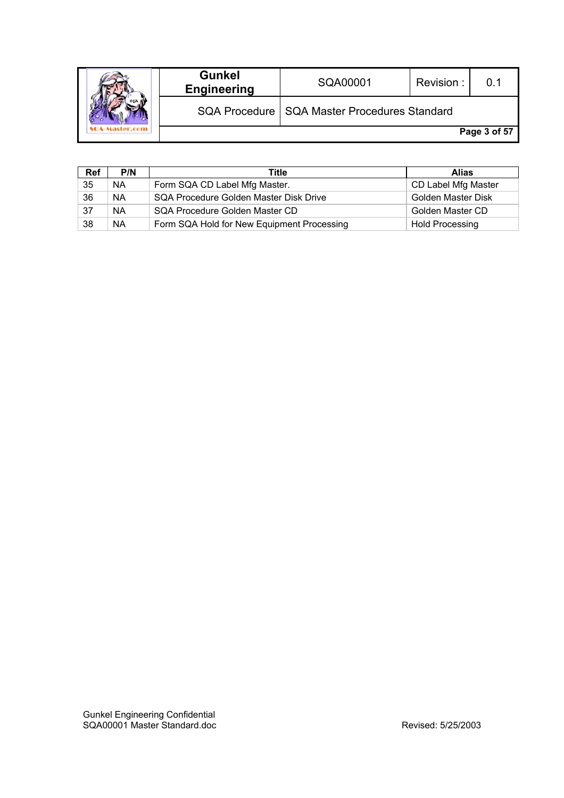|  | <b>Gunkel</b><br><b>Engineering</b> | SQA00001                                       | Revision: | በ 1          |
|--|-------------------------------------|------------------------------------------------|-----------|--------------|
|  |                                     | SQA Procedure   SQA Master Procedures Standard |           |              |
|  |                                     |                                                |           | Page 3 of 57 |

| Ref | P/N       | Title                                      | <b>Alias</b>           |
|-----|-----------|--------------------------------------------|------------------------|
| 35  | <b>NA</b> | Form SQA CD Label Mfg Master.              | CD Label Mfg Master    |
| 36  | <b>NA</b> | SQA Procedure Golden Master Disk Drive     | Golden Master Disk     |
| 37  | <b>NA</b> | SQA Procedure Golden Master CD             | Golden Master CD       |
| 38  | <b>NA</b> | Form SQA Hold for New Equipment Processing | <b>Hold Processing</b> |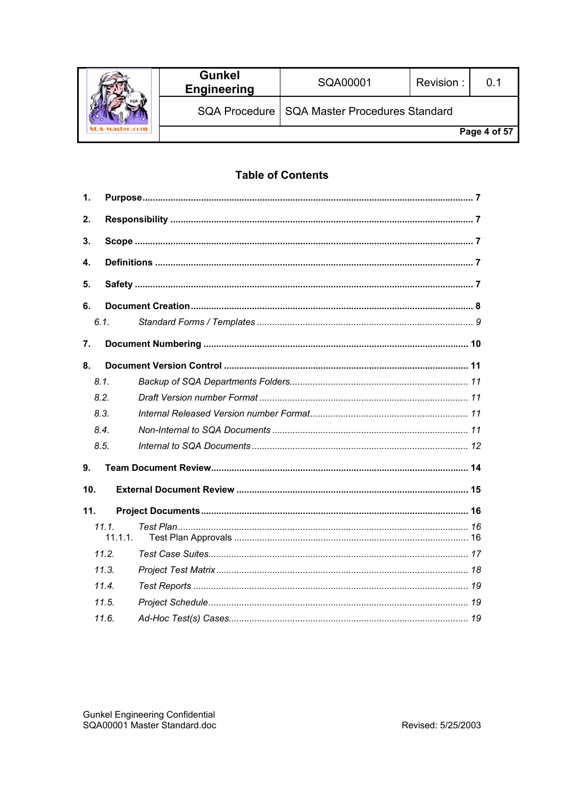|  | <b>Gunkel</b><br><b>Engineering</b> | SQA00001                                       | Revision: | . በ 1        |
|--|-------------------------------------|------------------------------------------------|-----------|--------------|
|  |                                     | SQA Procedure   SQA Master Procedures Standard |           |              |
|  |                                     |                                                |           | Page 4 of 57 |

# **Table of Contents**

| 1.  |                  |  |
|-----|------------------|--|
| 2.  |                  |  |
| 3.  |                  |  |
| 4.  |                  |  |
| 5.  |                  |  |
| 6.  |                  |  |
|     | 6.1.             |  |
| 7.  |                  |  |
| 8.  |                  |  |
|     | 8.1.             |  |
|     | 8.2.             |  |
|     | 8.3.             |  |
|     | 8.4.             |  |
|     | 8.5.             |  |
| 9.  |                  |  |
| 10. |                  |  |
| 11. |                  |  |
|     | 11.1.<br>11.1.1. |  |
|     | 11.2.            |  |
|     | 11.3.            |  |
|     | 11.4             |  |
|     | 11.5.            |  |
|     | 11.6.            |  |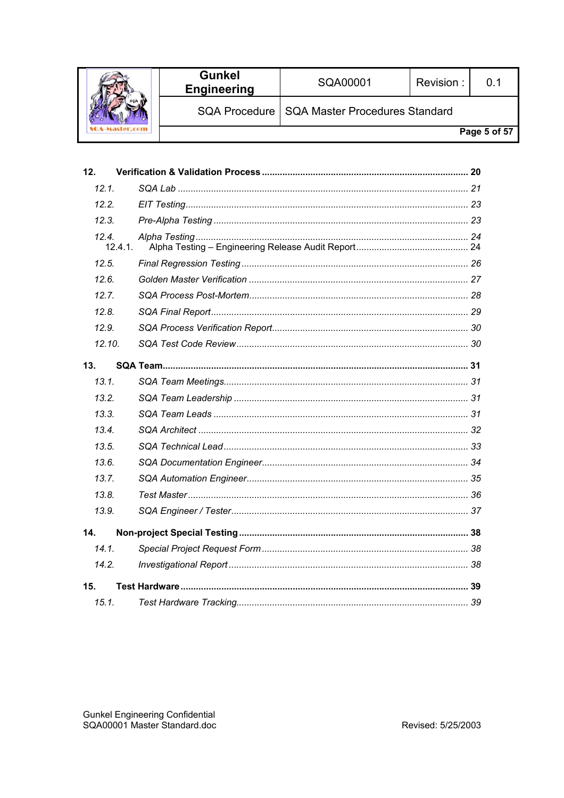|  | <b>Gunkel</b><br><b>Engineering</b> | SQA00001                                       | Revision: | $\Omega$ .   |
|--|-------------------------------------|------------------------------------------------|-----------|--------------|
|  |                                     | SQA Procedure   SQA Master Procedures Standard |           |              |
|  |                                     |                                                |           | Page 5 of 57 |

| 12.    |         |
|--------|---------|
| 12.1.  |         |
| 12.2.  |         |
| 12.3.  |         |
| 12.4   | 12.4.1. |
| 12.5.  |         |
| 12.6.  |         |
| 12.7.  |         |
| 12.8   |         |
| 12.9.  |         |
| 12.10. |         |
| 13.    |         |
| 13.1.  |         |
| 13.2.  |         |
| 13.3.  |         |
| 13.4.  |         |
| 13.5.  |         |
| 13.6.  |         |
| 13.7.  |         |
| 13.8.  |         |
| 13.9.  |         |
| 14.    |         |
| 14.1.  |         |
| 14.2.  |         |
| 15.    |         |
| 15.1.  |         |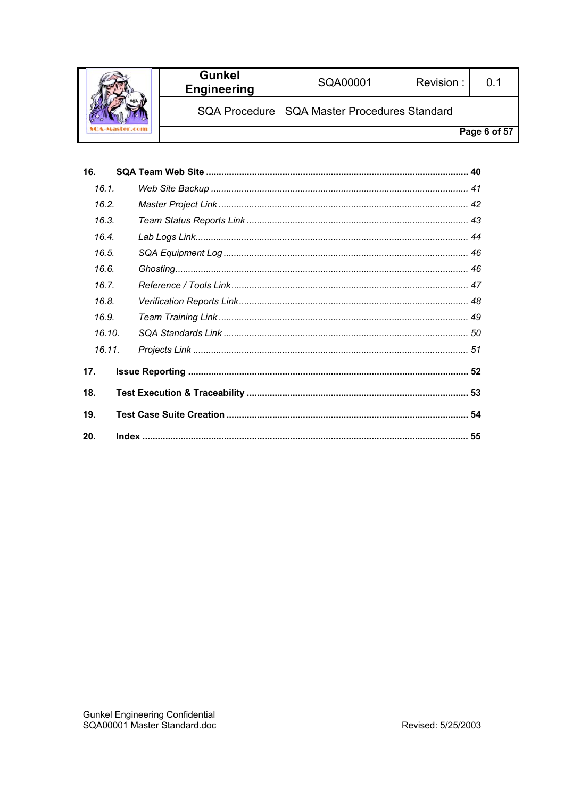|  | <b>Gunkel</b><br><b>Engineering</b> | SQA00001                                       | Revision: |              |
|--|-------------------------------------|------------------------------------------------|-----------|--------------|
|  |                                     | SQA Procedure   SQA Master Procedures Standard |           |              |
|  |                                     |                                                |           | Page 6 of 57 |

| 16.    |  |  |
|--------|--|--|
| 16.1.  |  |  |
| 16.2.  |  |  |
| 16.3.  |  |  |
| 16.4.  |  |  |
| 16.5.  |  |  |
| 16.6.  |  |  |
| 16.7.  |  |  |
| 16.8.  |  |  |
| 16.9.  |  |  |
| 16.10. |  |  |
| 16.11. |  |  |
| 17.    |  |  |
| 18.    |  |  |
| 19.    |  |  |
| 20.    |  |  |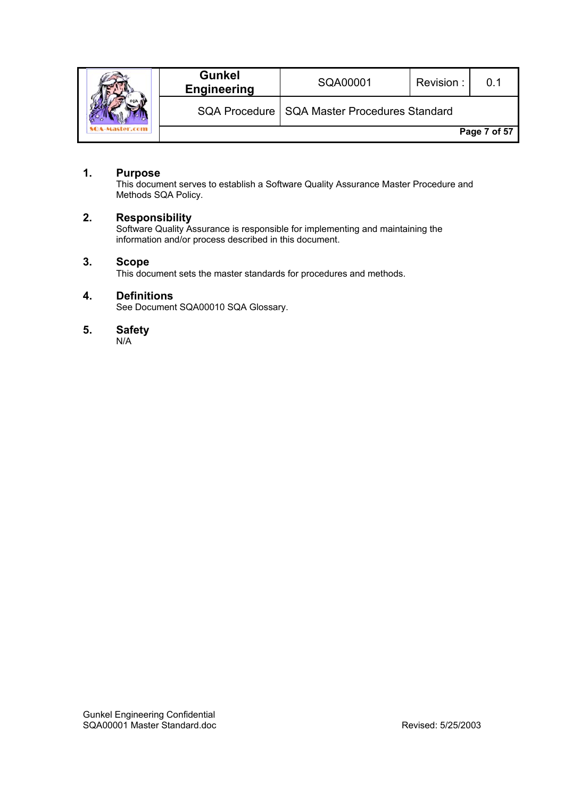|  | <b>Gunkel</b><br><b>Engineering</b> | SQA00001                                       | Revision: |              |
|--|-------------------------------------|------------------------------------------------|-----------|--------------|
|  |                                     | SQA Procedure   SQA Master Procedures Standard |           |              |
|  |                                     |                                                |           | Page 7 of 57 |

# **1. Purpose**

This document serves to establish a Software Quality Assurance Master Procedure and Methods SQA Policy.

# **2. Responsibility**

Software Quality Assurance is responsible for implementing and maintaining the information and/or process described in this document.

# **3. Scope**

This document sets the master standards for procedures and methods.

# **4. Definitions**

See Document SQA00010 SQA Glossary.

# **5. Safety**

N/A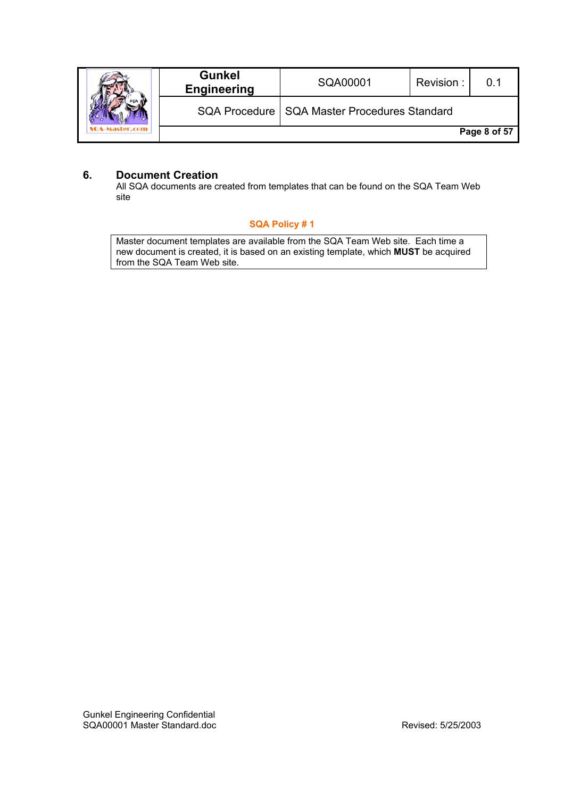|  | <b>Gunkel</b><br><b>Engineering</b> | SQA00001                                       | Revision: | ი 1          |
|--|-------------------------------------|------------------------------------------------|-----------|--------------|
|  |                                     | SQA Procedure   SQA Master Procedures Standard |           |              |
|  |                                     |                                                |           | Page 8 of 57 |

# **6. Document Creation**

All SQA documents are created from templates that can be found on the SQA Team Web site

# **SQA Policy # 1**

Master document templates are available from the SQA Team Web site. Each time a new document is created, it is based on an existing template, which **MUST** be acquired from the SQA Team Web site.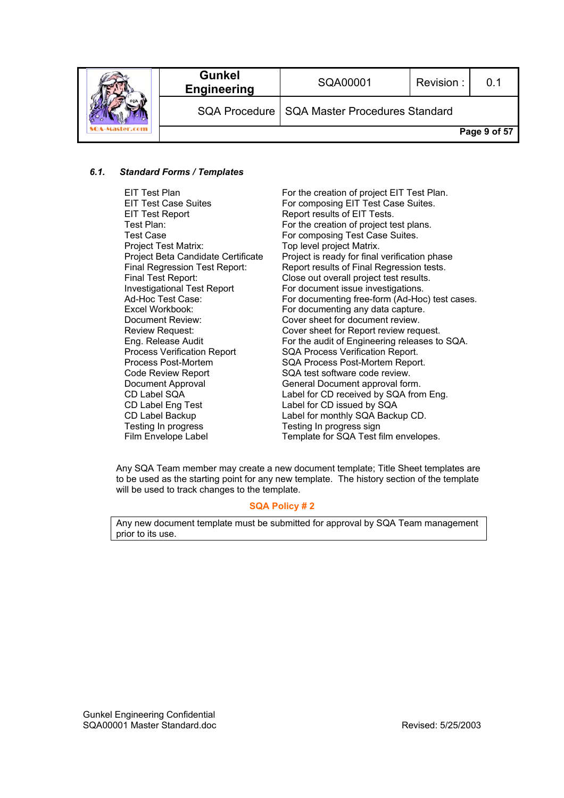|  | <b>Gunkel</b><br><b>Engineering</b> | SQA00001                                       | Revision: | 0.1          |
|--|-------------------------------------|------------------------------------------------|-----------|--------------|
|  |                                     | SQA Procedure   SQA Master Procedures Standard |           |              |
|  |                                     |                                                |           | Page 9 of 57 |

#### *6.1. Standard Forms / Templates*

- EIT Test Report **Report Report results of EIT Tests.**<br>Test Plan: For the creation of project te Project Test Matrix: Top level project Matrix. Code Review Report SQA test software code review. CD Label Eng Test Label for CD issued by SQA Testing In progress Testing In progress sign
- EIT Test Plan For the creation of project EIT Test Plan.<br>EIT Test Case Suites For composing EIT Test Case Suites. EIT Test Case Suites<br>EIT Test Report For composing EIT Test Case Suites.<br>FIT Tests. For the creation of project test plans. Test Case **For composing Test Case Suites.** Project Beta Candidate Certificate Project is ready for final verification phase Final Regression Test Report: Report results of Final Regression tests. Final Test Report: Close out overall project test results. Investigational Test Report For document issue investigations. Ad-Hoc Test Case: For documenting free-form (Ad-Hoc) test cases. Excel Workbook: For documenting any data capture. Document Review: Cover sheet for document review. Review Request: Cover sheet for Report review request. Eng. Release Audit For the audit of Engineering releases to SQA. Process Verification Report SQA Process Verification Report. Process Post-Mortem SQA Process Post-Mortem Report. Document Approval General Document approval form.<br>CD Label SQA CD Label for CD received by SQA from Label for CD received by SQA from Eng. CD Label Backup Label for monthly SQA Backup CD. Film Envelope Label Template for SQA Test film envelopes.

Any SQA Team member may create a new document template; Title Sheet templates are to be used as the starting point for any new template. The history section of the template will be used to track changes to the template.

#### **SQA Policy # 2**

Any new document template must be submitted for approval by SQA Team management prior to its use.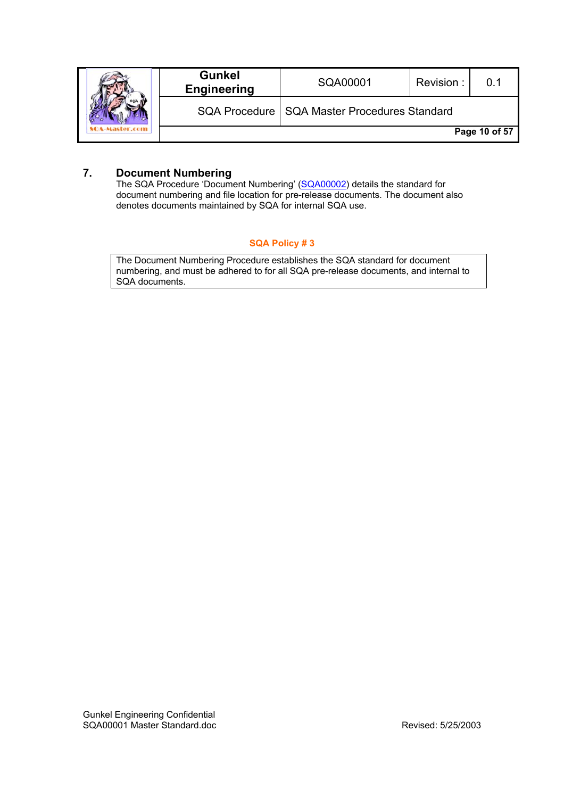|  | <b>Gunkel</b><br><b>Engineering</b> | SQA00001                                       | Revision: | በ 1           |
|--|-------------------------------------|------------------------------------------------|-----------|---------------|
|  |                                     | SQA Procedure   SQA Master Procedures Standard |           |               |
|  |                                     |                                                |           | Page 10 of 57 |

# **7. Document Numbering**

The SQA Procedure 'Document Numbering' (SQA00002) details the standard for document numbering and file location for pre-release documents. The document also denotes documents maintained by SQA for internal SQA use.

#### **SQA Policy # 3**

The Document Numbering Procedure establishes the SQA standard for document numbering, and must be adhered to for all SQA pre-release documents, and internal to SQA documents.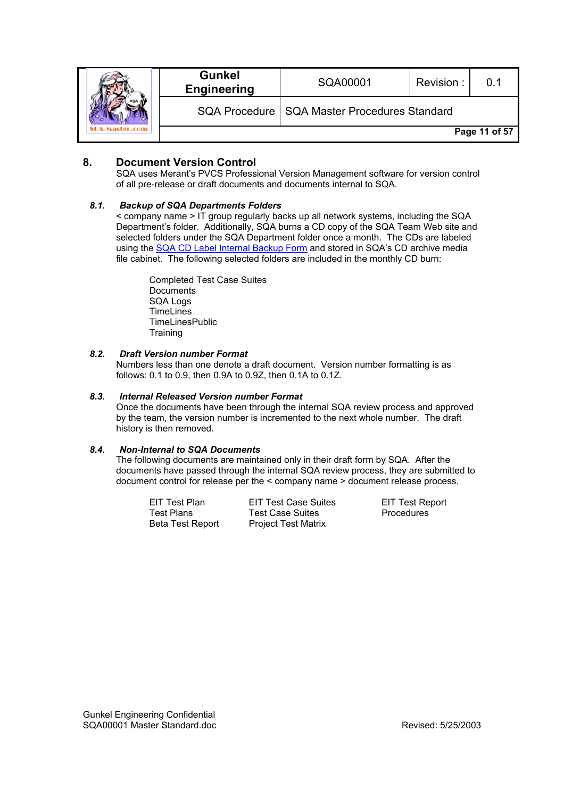|  | <b>Gunkel</b><br><b>Engineering</b> | SQA00001                                       | Revision: | ი 1           |
|--|-------------------------------------|------------------------------------------------|-----------|---------------|
|  |                                     | SQA Procedure   SQA Master Procedures Standard |           |               |
|  |                                     |                                                |           | Page 11 of 57 |

# **8. Document Version Control**

SQA uses Merant's PVCS Professional Version Management software for version control of all pre-release or draft documents and documents internal to SQA.

#### *8.1. Backup of SQA Departments Folders*

< company name > IT group regularly backs up all network systems, including the SQA Department's folder. Additionally, SQA burns a CD copy of the SQA Team Web site and selected folders under the SQA Department folder once a month. The CDs are labeled using the SQA CD Label Internal Backup Form and stored in SQA's CD archive media file cabinet. The following selected folders are included in the monthly CD burn:

Completed Test Case Suites Documents SQA Logs **TimeLines** TimeLinesPublic **Training** 

#### *8.2. Draft Version number Format*

Numbers less than one denote a draft document. Version number formatting is as follows: 0.1 to 0.9, then 0.9A to 0.9Z, then 0.1A to 0.1Z.

#### *8.3. Internal Released Version number Format*

Once the documents have been through the internal SQA review process and approved by the team, the version number is incremented to the next whole number. The draft history is then removed.

#### *8.4. Non-Internal to SQA Documents*

The following documents are maintained only in their draft form by SQA. After the documents have passed through the internal SQA review process, they are submitted to document control for release per the < company name > document release process.

EIT Test Plan EIT Test Case Suites EIT Test Report<br>
Test Plans Test Case Suites Procedures Test Case Suites **Procedures** Beta Test Report Project Test Matrix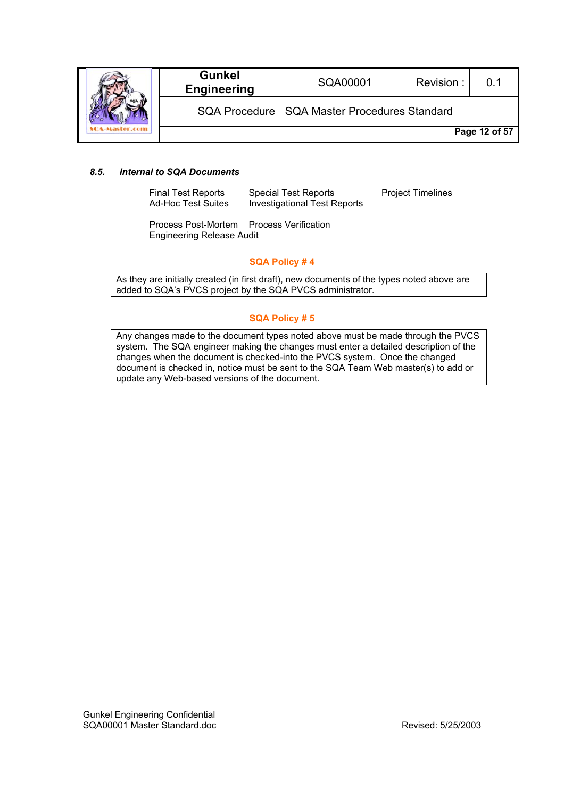|  | <b>Gunkel</b><br><b>Engineering</b> | SQA00001                                       | Revision: | 0.1           |
|--|-------------------------------------|------------------------------------------------|-----------|---------------|
|  |                                     | SQA Procedure   SQA Master Procedures Standard |           |               |
|  |                                     |                                                |           | Page 12 of 57 |

#### *8.5. Internal to SQA Documents*

Final Test Reports Special Test Reports Project Timelines<br>
Ad-Hoc Test Suites Investigational Test Reports Investigational Test Reports

Process Post-Mortem Process Verification Engineering Release Audit

#### **SQA Policy # 4**

As they are initially created (in first draft), new documents of the types noted above are added to SQA's PVCS project by the SQA PVCS administrator.

#### **SQA Policy # 5**

Any changes made to the document types noted above must be made through the PVCS system. The SQA engineer making the changes must enter a detailed description of the changes when the document is checked-into the PVCS system. Once the changed document is checked in, notice must be sent to the SQA Team Web master(s) to add or update any Web-based versions of the document.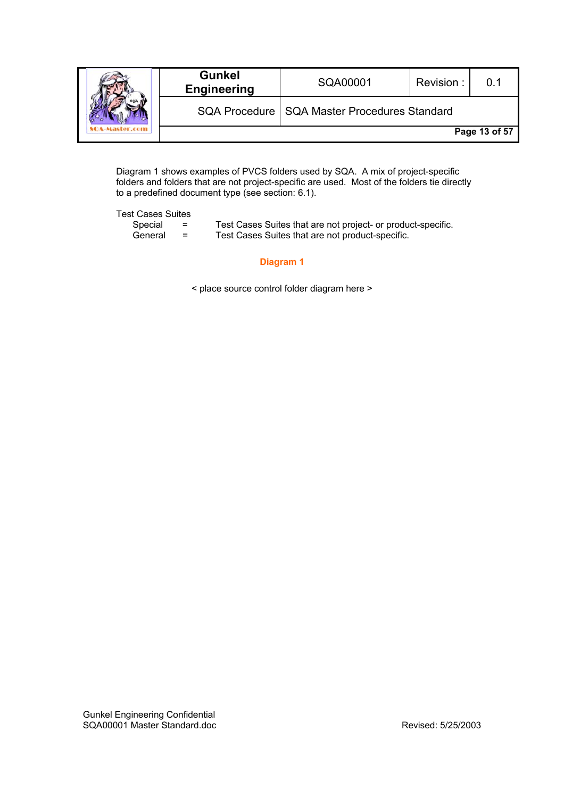|  | <b>Gunkel</b><br><b>Engineering</b> | SQA00001                                       | Revision: |               |
|--|-------------------------------------|------------------------------------------------|-----------|---------------|
|  |                                     | SQA Procedure   SQA Master Procedures Standard |           |               |
|  |                                     |                                                |           | Page 13 of 57 |

Diagram 1 shows examples of PVCS folders used by SQA. A mix of project-specific folders and folders that are not project-specific are used. Most of the folders tie directly to a predefined document type (see section: 6.1).

Test Cases Suites

| Special | $\overline{\phantom{0}}$<br>- | Test Cases Suites that are not project- or product-specific. |
|---------|-------------------------------|--------------------------------------------------------------|
| General | =                             | Test Cases Suites that are not product-specific.             |

#### **Diagram 1**

< place source control folder diagram here >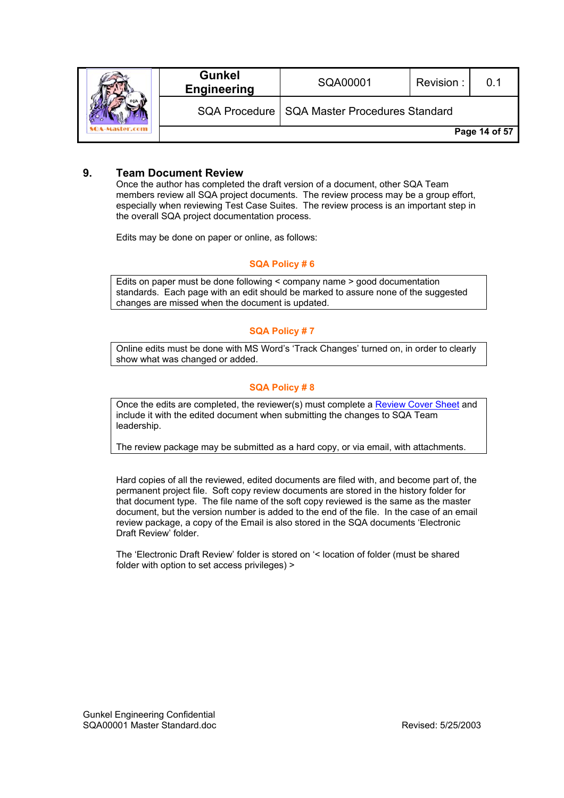|  | <b>Gunkel</b><br><b>Engineering</b> | SQA00001                                       | Revision: | በ 1           |
|--|-------------------------------------|------------------------------------------------|-----------|---------------|
|  |                                     | SQA Procedure   SQA Master Procedures Standard |           |               |
|  |                                     |                                                |           | Page 14 of 57 |

# **9. Team Document Review**

Once the author has completed the draft version of a document, other SQA Team members review all SQA project documents. The review process may be a group effort, especially when reviewing Test Case Suites. The review process is an important step in the overall SQA project documentation process.

Edits may be done on paper or online, as follows:

#### **SQA Policy # 6**

Edits on paper must be done following < company name > good documentation standards. Each page with an edit should be marked to assure none of the suggested changes are missed when the document is updated.

#### **SQA Policy # 7**

Online edits must be done with MS Word's 'Track Changes' turned on, in order to clearly show what was changed or added.

#### **SQA Policy # 8**

Once the edits are completed, the reviewer(s) must complete a Review Cover Sheet and include it with the edited document when submitting the changes to SQA Team leadership.

The review package may be submitted as a hard copy, or via email, with attachments.

Hard copies of all the reviewed, edited documents are filed with, and become part of, the permanent project file. Soft copy review documents are stored in the history folder for that document type. The file name of the soft copy reviewed is the same as the master document, but the version number is added to the end of the file. In the case of an email review package, a copy of the Email is also stored in the SQA documents 'Electronic Draft Review' folder.

The 'Electronic Draft Review' folder is stored on '< location of folder (must be shared folder with option to set access privileges) >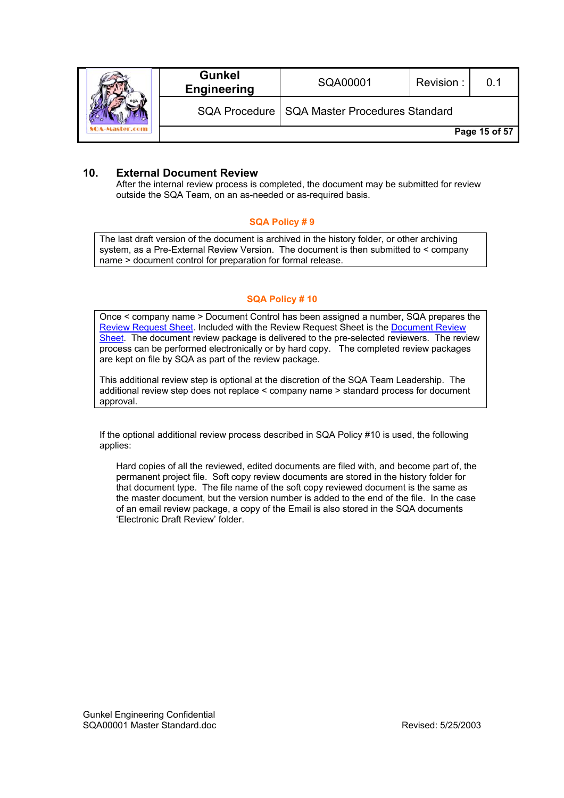|  | <b>Gunkel</b><br><b>Engineering</b> | SQA00001                                       | Revision: | በ 1           |
|--|-------------------------------------|------------------------------------------------|-----------|---------------|
|  |                                     | SQA Procedure   SQA Master Procedures Standard |           |               |
|  |                                     |                                                |           | Page 15 of 57 |

# **10. External Document Review**

After the internal review process is completed, the document may be submitted for review outside the SQA Team, on an as-needed or as-required basis.

# **SQA Policy # 9**

The last draft version of the document is archived in the history folder, or other archiving system, as a Pre-External Review Version. The document is then submitted to < company name > document control for preparation for formal release.

# **SQA Policy # 10**

Once < company name > Document Control has been assigned a number, SQA prepares the Review Request Sheet. Included with the Review Request Sheet is the Document Review Sheet. The document review package is delivered to the pre-selected reviewers. The review process can be performed electronically or by hard copy. The completed review packages are kept on file by SQA as part of the review package.

This additional review step is optional at the discretion of the SQA Team Leadership. The additional review step does not replace < company name > standard process for document approval.

If the optional additional review process described in SQA Policy #10 is used, the following applies:

Hard copies of all the reviewed, edited documents are filed with, and become part of, the permanent project file. Soft copy review documents are stored in the history folder for that document type. The file name of the soft copy reviewed document is the same as the master document, but the version number is added to the end of the file. In the case of an email review package, a copy of the Email is also stored in the SQA documents 'Electronic Draft Review' folder.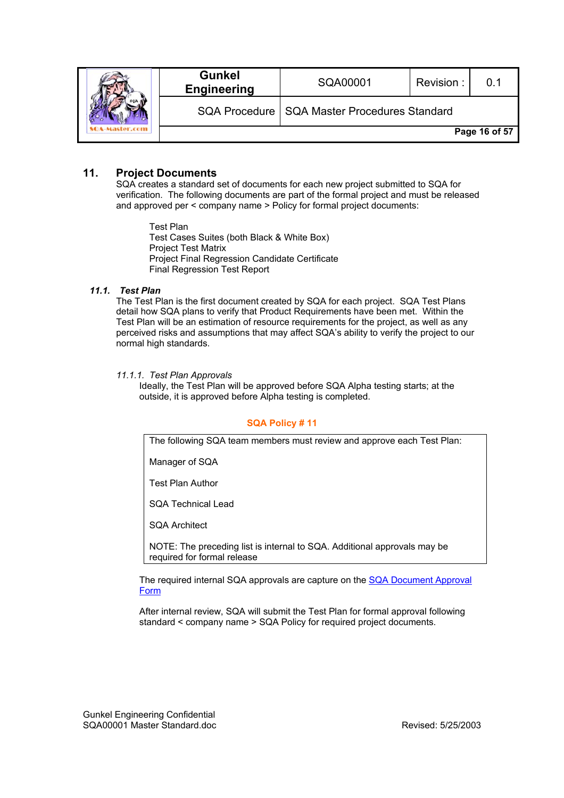|  | <b>Gunkel</b><br><b>Engineering</b> | SQA00001                                       | Revision: |               |
|--|-------------------------------------|------------------------------------------------|-----------|---------------|
|  |                                     | SQA Procedure   SQA Master Procedures Standard |           |               |
|  |                                     |                                                |           | Page 16 of 57 |

# **11. Project Documents**

SQA creates a standard set of documents for each new project submitted to SQA for verification. The following documents are part of the formal project and must be released and approved per < company name > Policy for formal project documents:

Test Plan Test Cases Suites (both Black & White Box) Project Test Matrix Project Final Regression Candidate Certificate Final Regression Test Report

#### *11.1. Test Plan*

The Test Plan is the first document created by SQA for each project. SQA Test Plans detail how SQA plans to verify that Product Requirements have been met. Within the Test Plan will be an estimation of resource requirements for the project, as well as any perceived risks and assumptions that may affect SQA's ability to verify the project to our normal high standards.

#### *11.1.1. Test Plan Approvals*

Ideally, the Test Plan will be approved before SQA Alpha testing starts; at the outside, it is approved before Alpha testing is completed.

#### **SQA Policy # 11**

The following SQA team members must review and approve each Test Plan:

Manager of SQA

Test Plan Author

SQA Technical Lead

SQA Architect

NOTE: The preceding list is internal to SQA. Additional approvals may be required for formal release

The required internal SQA approvals are capture on the SQA Document Approval Form

After internal review, SQA will submit the Test Plan for formal approval following standard < company name > SQA Policy for required project documents.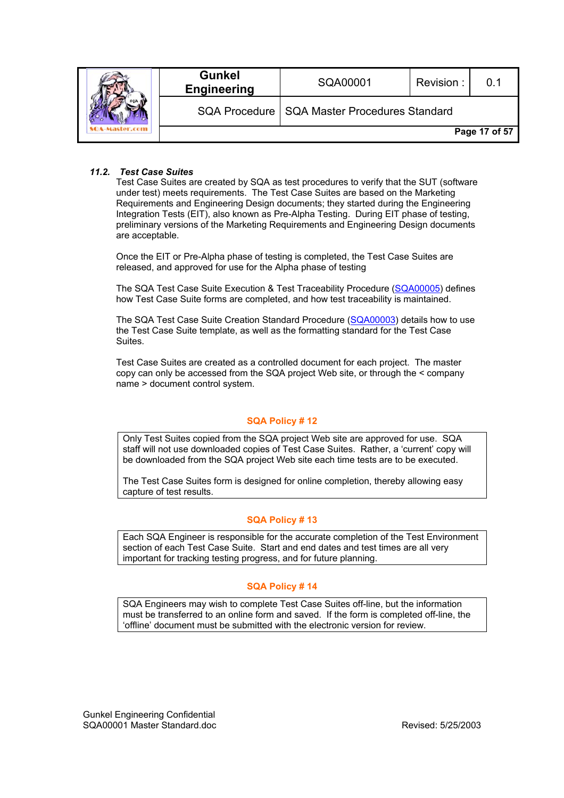|  | <b>Gunkel</b><br><b>Engineering</b> | SQA00001                                       | Revision: |               |
|--|-------------------------------------|------------------------------------------------|-----------|---------------|
|  |                                     | SQA Procedure   SQA Master Procedures Standard |           |               |
|  |                                     |                                                |           | Page 17 of 57 |

#### *11.2. Test Case Suites*

Test Case Suites are created by SQA as test procedures to verify that the SUT (software under test) meets requirements. The Test Case Suites are based on the Marketing Requirements and Engineering Design documents; they started during the Engineering Integration Tests (EIT), also known as Pre-Alpha Testing. During EIT phase of testing, preliminary versions of the Marketing Requirements and Engineering Design documents are acceptable.

Once the EIT or Pre-Alpha phase of testing is completed, the Test Case Suites are released, and approved for use for the Alpha phase of testing

The SQA Test Case Suite Execution & Test Traceability Procedure (SQA00005) defines how Test Case Suite forms are completed, and how test traceability is maintained.

The SQA Test Case Suite Creation Standard Procedure (SQA00003) details how to use the Test Case Suite template, as well as the formatting standard for the Test Case Suites.

Test Case Suites are created as a controlled document for each project. The master copy can only be accessed from the SQA project Web site, or through the < company name > document control system.

#### **SQA Policy # 12**

Only Test Suites copied from the SQA project Web site are approved for use. SQA staff will not use downloaded copies of Test Case Suites. Rather, a 'current' copy will be downloaded from the SQA project Web site each time tests are to be executed.

The Test Case Suites form is designed for online completion, thereby allowing easy capture of test results.

#### **SQA Policy # 13**

Each SQA Engineer is responsible for the accurate completion of the Test Environment section of each Test Case Suite. Start and end dates and test times are all very important for tracking testing progress, and for future planning.

#### **SQA Policy # 14**

SQA Engineers may wish to complete Test Case Suites off-line, but the information must be transferred to an online form and saved. If the form is completed off-line, the 'offline' document must be submitted with the electronic version for review.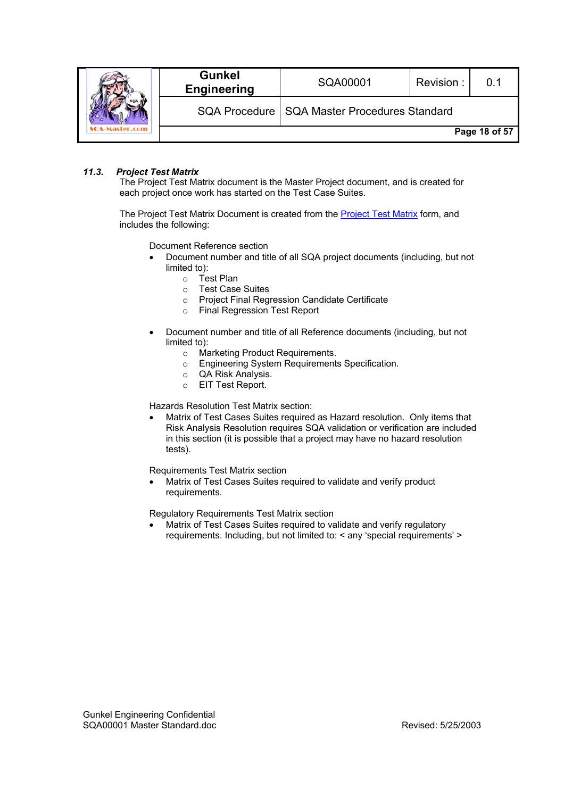|  | <b>Gunkel</b><br><b>Engineering</b> | SQA00001                                       | Revision: |               |
|--|-------------------------------------|------------------------------------------------|-----------|---------------|
|  |                                     | SQA Procedure   SQA Master Procedures Standard |           |               |
|  |                                     |                                                |           | Page 18 of 57 |

#### *11.3. Project Test Matrix*

The Project Test Matrix document is the Master Project document, and is created for each project once work has started on the Test Case Suites.

The Project Test Matrix Document is created from the Project Test Matrix form, and includes the following:

Document Reference section

- Document number and title of all SQA project documents (including, but not limited to):
	- o Test Plan
	- o Test Case Suites
	- o Project Final Regression Candidate Certificate
	- o Final Regression Test Report
- Document number and title of all Reference documents (including, but not limited to):
	- o Marketing Product Requirements.
	- o Engineering System Requirements Specification.
	- o QA Risk Analysis.
	- o EIT Test Report.

Hazards Resolution Test Matrix section:

• Matrix of Test Cases Suites required as Hazard resolution. Only items that Risk Analysis Resolution requires SQA validation or verification are included in this section (it is possible that a project may have no hazard resolution tests).

Requirements Test Matrix section

• Matrix of Test Cases Suites required to validate and verify product requirements.

Regulatory Requirements Test Matrix section

• Matrix of Test Cases Suites required to validate and verify regulatory requirements. Including, but not limited to: < any 'special requirements' >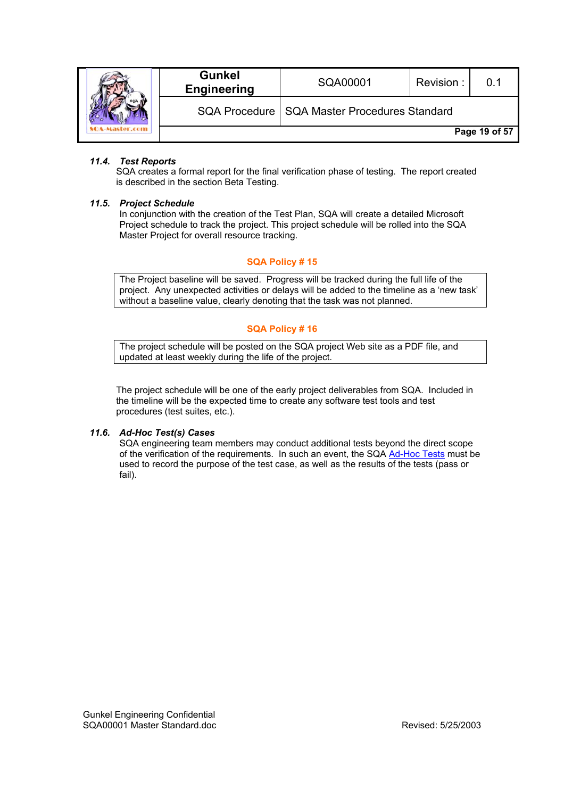|  | <b>Gunkel</b><br><b>Engineering</b> | SQA00001                                       | Revision: | 0.1           |
|--|-------------------------------------|------------------------------------------------|-----------|---------------|
|  |                                     | SQA Procedure   SQA Master Procedures Standard |           |               |
|  |                                     |                                                |           | Page 19 of 57 |

### *11.4. Test Reports*

SQA creates a formal report for the final verification phase of testing. The report created is described in the section Beta Testing.

#### *11.5. Project Schedule*

In conjunction with the creation of the Test Plan, SQA will create a detailed Microsoft Project schedule to track the project. This project schedule will be rolled into the SQA Master Project for overall resource tracking.

#### **SQA Policy # 15**

The Project baseline will be saved. Progress will be tracked during the full life of the project. Any unexpected activities or delays will be added to the timeline as a 'new task' without a baseline value, clearly denoting that the task was not planned.

#### **SQA Policy # 16**

The project schedule will be posted on the SQA project Web site as a PDF file, and updated at least weekly during the life of the project.

The project schedule will be one of the early project deliverables from SQA. Included in the timeline will be the expected time to create any software test tools and test procedures (test suites, etc.).

#### *11.6. Ad-Hoc Test(s) Cases*

SQA engineering team members may conduct additional tests beyond the direct scope of the verification of the requirements. In such an event, the SQA Ad-Hoc Tests must be used to record the purpose of the test case, as well as the results of the tests (pass or fail).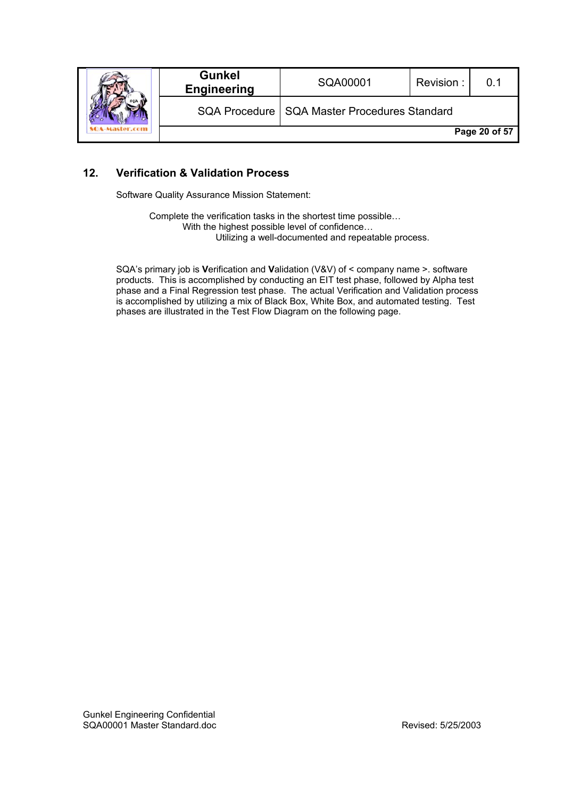|  | <b>Gunkel</b><br><b>Engineering</b> | SQA00001                                       | Revision: | . በ 1         |
|--|-------------------------------------|------------------------------------------------|-----------|---------------|
|  |                                     | SQA Procedure   SQA Master Procedures Standard |           |               |
|  |                                     |                                                |           | Page 20 of 57 |

# **12. Verification & Validation Process**

Software Quality Assurance Mission Statement:

 Complete the verification tasks in the shortest time possible… With the highest possible level of confidence… Utilizing a well-documented and repeatable process.

SQA's primary job is **V**erification and **V**alidation (V&V) of < company name >. software products. This is accomplished by conducting an EIT test phase, followed by Alpha test phase and a Final Regression test phase. The actual Verification and Validation process is accomplished by utilizing a mix of Black Box, White Box, and automated testing. Test phases are illustrated in the Test Flow Diagram on the following page.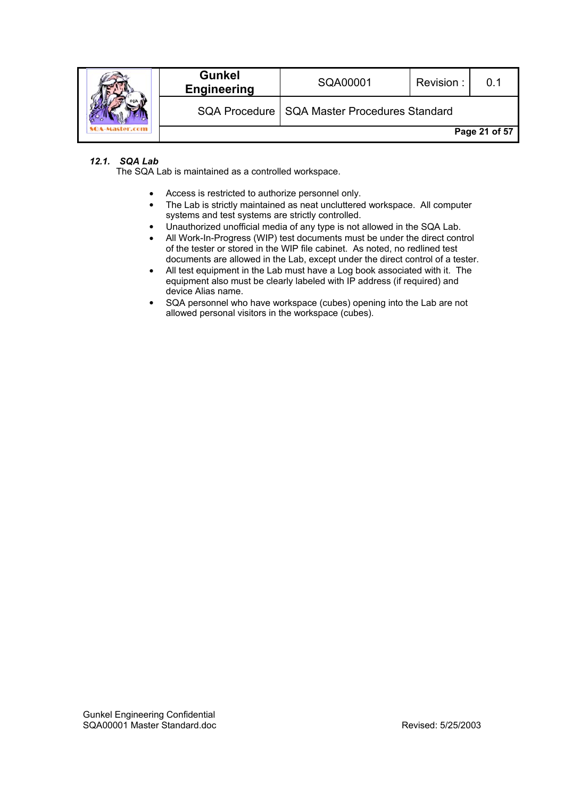|  | <b>Gunkel</b><br><b>Engineering</b> | SQA00001                                       | Revision: |               |
|--|-------------------------------------|------------------------------------------------|-----------|---------------|
|  |                                     | SQA Procedure   SQA Master Procedures Standard |           |               |
|  |                                     |                                                |           | Page 21 of 57 |

# *12.1. SQA Lab*

The SQA Lab is maintained as a controlled workspace.

- Access is restricted to authorize personnel only.
- The Lab is strictly maintained as neat uncluttered workspace. All computer systems and test systems are strictly controlled.
- Unauthorized unofficial media of any type is not allowed in the SQA Lab.
- All Work-In-Progress (WIP) test documents must be under the direct control of the tester or stored in the WIP file cabinet. As noted, no redlined test documents are allowed in the Lab, except under the direct control of a tester.
- All test equipment in the Lab must have a Log book associated with it. The equipment also must be clearly labeled with IP address (if required) and device Alias name.
- SQA personnel who have workspace (cubes) opening into the Lab are not allowed personal visitors in the workspace (cubes).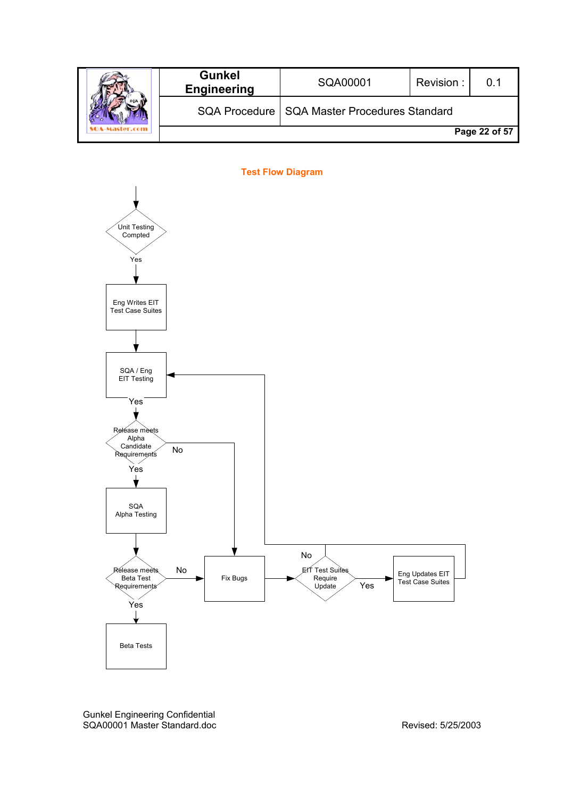|  | <b>Gunkel</b><br><b>Engineering</b> | SQA00001                                       | Revision: |               |
|--|-------------------------------------|------------------------------------------------|-----------|---------------|
|  |                                     | SQA Procedure   SQA Master Procedures Standard |           |               |
|  |                                     |                                                |           | Page 22 of 57 |



Gunkel Engineering Confidential SQA00001 Master Standard.doc Revised: 5/25/2003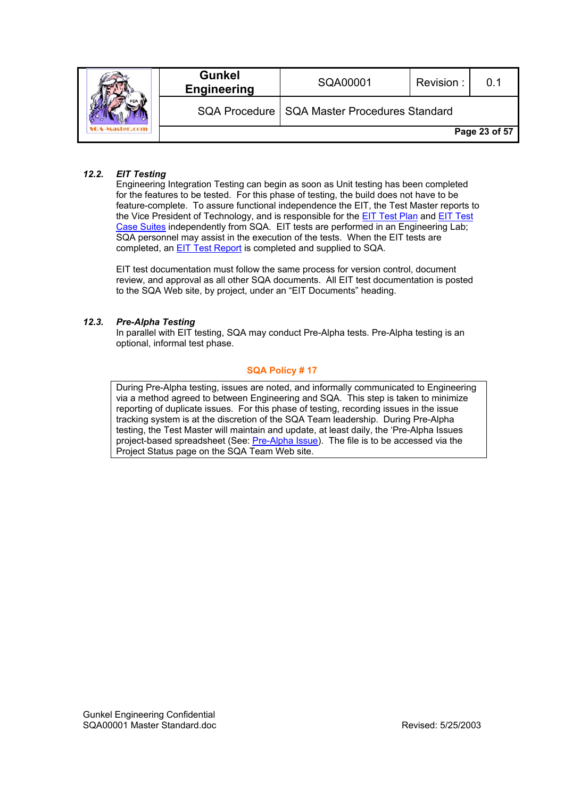|  | <b>Gunkel</b><br><b>Engineering</b> | SQA00001                                       | Revision: | 0.1           |
|--|-------------------------------------|------------------------------------------------|-----------|---------------|
|  |                                     | SQA Procedure   SQA Master Procedures Standard |           |               |
|  |                                     |                                                |           | Page 23 of 57 |

#### *12.2. EIT Testing*

Engineering Integration Testing can begin as soon as Unit testing has been completed for the features to be tested. For this phase of testing, the build does not have to be feature-complete. To assure functional independence the EIT, the Test Master reports to the Vice President of Technology, and is responsible for the **EIT Test Plan and EIT Test** Case Suites independently from SQA. EIT tests are performed in an Engineering Lab; SQA personnel may assist in the execution of the tests. When the EIT tests are completed, an **EIT Test Report** is completed and supplied to SQA.

EIT test documentation must follow the same process for version control, document review, and approval as all other SQA documents. All EIT test documentation is posted to the SQA Web site, by project, under an "EIT Documents" heading.

#### *12.3. Pre-Alpha Testing*

In parallel with EIT testing, SQA may conduct Pre-Alpha tests. Pre-Alpha testing is an optional, informal test phase.

#### **SQA Policy # 17**

During Pre-Alpha testing, issues are noted, and informally communicated to Engineering via a method agreed to between Engineering and SQA. This step is taken to minimize reporting of duplicate issues. For this phase of testing, recording issues in the issue tracking system is at the discretion of the SQA Team leadership. During Pre-Alpha testing, the Test Master will maintain and update, at least daily, the 'Pre-Alpha Issues project-based spreadsheet (See: Pre-Alpha Issue). The file is to be accessed via the Project Status page on the SQA Team Web site.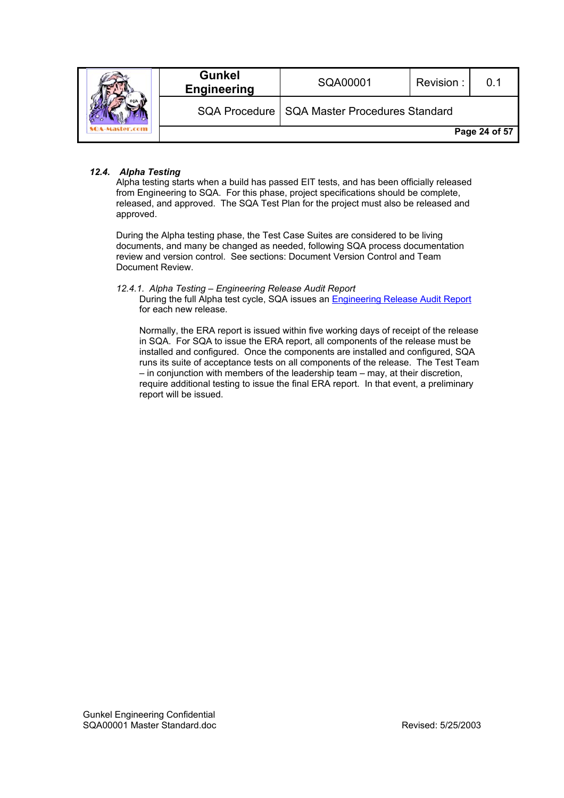|  | <b>Gunkel</b><br><b>Engineering</b> | SQA00001                                       | Revision: | 0.1           |
|--|-------------------------------------|------------------------------------------------|-----------|---------------|
|  |                                     | SQA Procedure   SQA Master Procedures Standard |           |               |
|  |                                     |                                                |           | Page 24 of 57 |

#### *12.4. Alpha Testing*

Alpha testing starts when a build has passed EIT tests, and has been officially released from Engineering to SQA. For this phase, project specifications should be complete, released, and approved. The SQA Test Plan for the project must also be released and approved.

During the Alpha testing phase, the Test Case Suites are considered to be living documents, and many be changed as needed, following SQA process documentation review and version control. See sections: Document Version Control and Team Document Review.

*12.4.1. Alpha Testing – Engineering Release Audit Report* 

During the full Alpha test cycle, SQA issues an Engineering Release Audit Report for each new release.

Normally, the ERA report is issued within five working days of receipt of the release in SQA. For SQA to issue the ERA report, all components of the release must be installed and configured. Once the components are installed and configured, SQA runs its suite of acceptance tests on all components of the release. The Test Team – in conjunction with members of the leadership team – may, at their discretion, require additional testing to issue the final ERA report. In that event, a preliminary report will be issued.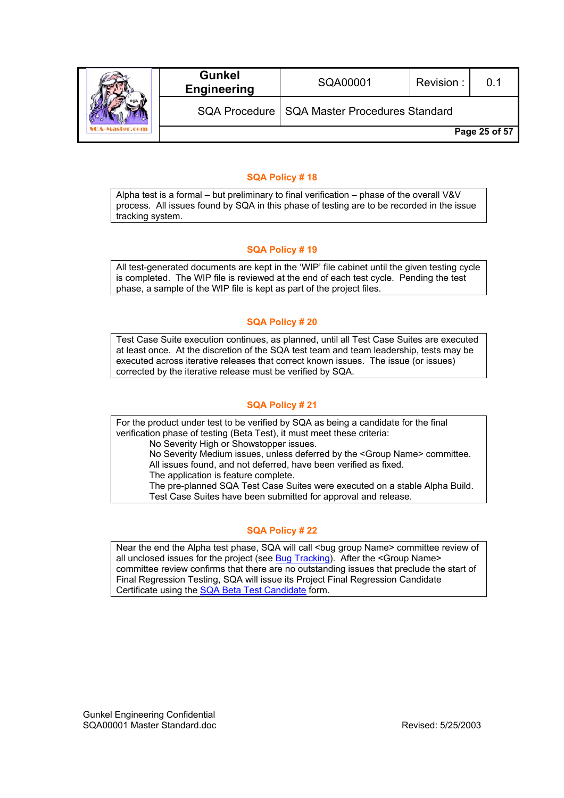|  | <b>Gunkel</b><br><b>Engineering</b> | SQA00001                                       | Revision: | 0.1           |
|--|-------------------------------------|------------------------------------------------|-----------|---------------|
|  |                                     | SQA Procedure   SQA Master Procedures Standard |           |               |
|  |                                     |                                                |           | Page 25 of 57 |

#### **SQA Policy # 18**

Alpha test is a formal – but preliminary to final verification – phase of the overall V&V process. All issues found by SQA in this phase of testing are to be recorded in the issue tracking system.

# **SQA Policy # 19**

All test-generated documents are kept in the 'WIP' file cabinet until the given testing cycle is completed. The WIP file is reviewed at the end of each test cycle. Pending the test phase, a sample of the WIP file is kept as part of the project files.

#### **SQA Policy # 20**

Test Case Suite execution continues, as planned, until all Test Case Suites are executed at least once. At the discretion of the SQA test team and team leadership, tests may be executed across iterative releases that correct known issues. The issue (or issues) corrected by the iterative release must be verified by SQA.

# **SQA Policy # 21**

For the product under test to be verified by SQA as being a candidate for the final verification phase of testing (Beta Test), it must meet these criteria: No Severity High or Showstopper issues.

No Severity Medium issues, unless deferred by the <Group Name> committee. All issues found, and not deferred, have been verified as fixed.

The application is feature complete.

The pre-planned SQA Test Case Suites were executed on a stable Alpha Build. Test Case Suites have been submitted for approval and release.

#### **SQA Policy # 22**

Near the end the Alpha test phase, SQA will call <br/>sbug group Name> committee review of all unclosed issues for the project (see Bug Tracking). After the <Group Name> committee review confirms that there are no outstanding issues that preclude the start of Final Regression Testing, SQA will issue its Project Final Regression Candidate Certificate using the SQA Beta Test Candidate form.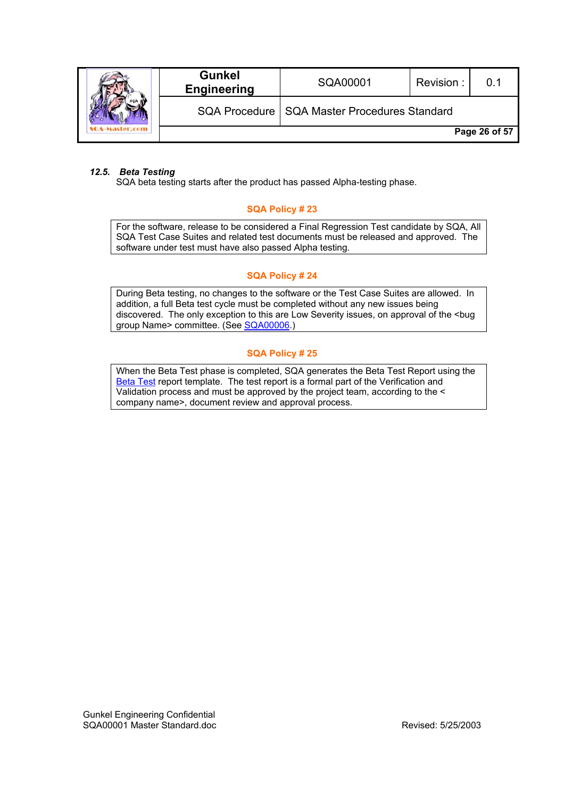|  | <b>Gunkel</b><br><b>Engineering</b> | SQA00001                                       | Revision: | . በ 1         |
|--|-------------------------------------|------------------------------------------------|-----------|---------------|
|  |                                     | SQA Procedure   SQA Master Procedures Standard |           |               |
|  |                                     |                                                |           | Page 26 of 57 |

### *12.5. Beta Testing*

SQA beta testing starts after the product has passed Alpha-testing phase.

#### **SQA Policy # 23**

For the software, release to be considered a Final Regression Test candidate by SQA, All SQA Test Case Suites and related test documents must be released and approved. The software under test must have also passed Alpha testing.

#### **SQA Policy # 24**

During Beta testing, no changes to the software or the Test Case Suites are allowed. In addition, a full Beta test cycle must be completed without any new issues being discovered. The only exception to this are Low Severity issues, on approval of the <bug group Name> committee. (See SQA00006.)

#### **SQA Policy # 25**

When the Beta Test phase is completed, SQA generates the Beta Test Report using the Beta Test report template. The test report is a formal part of the Verification and Validation process and must be approved by the project team, according to the < company name>, document review and approval process.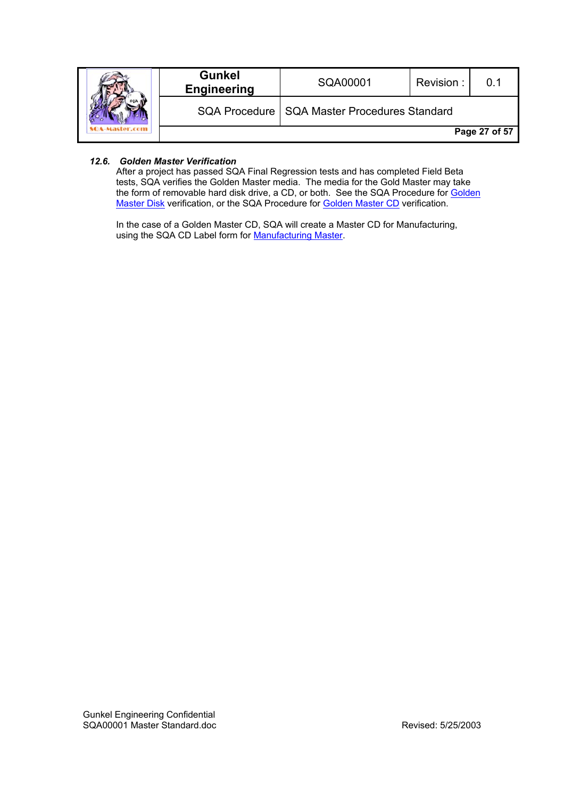|  | <b>Gunkel</b><br><b>Engineering</b> | SQA00001                                       | Revision: | 0.1           |
|--|-------------------------------------|------------------------------------------------|-----------|---------------|
|  |                                     | SQA Procedure   SQA Master Procedures Standard |           |               |
|  |                                     |                                                |           | Page 27 of 57 |

### *12.6. Golden Master Verification*

After a project has passed SQA Final Regression tests and has completed Field Beta tests, SQA verifies the Golden Master media. The media for the Gold Master may take the form of removable hard disk drive, a CD, or both. See the SQA Procedure for Golden Master Disk verification, or the SQA Procedure for Golden Master CD verification.

In the case of a Golden Master CD, SQA will create a Master CD for Manufacturing, using the SQA CD Label form for Manufacturing Master.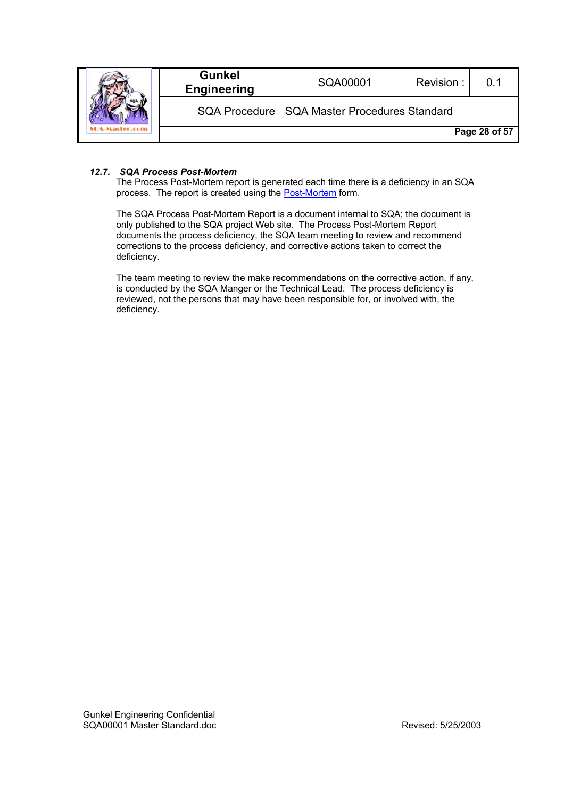|  | <b>Gunkel</b><br><b>Engineering</b> | SQA00001                                       | Revision: | . በ 1         |
|--|-------------------------------------|------------------------------------------------|-----------|---------------|
|  |                                     | SQA Procedure   SQA Master Procedures Standard |           |               |
|  |                                     |                                                |           | Page 28 of 57 |

#### *12.7. SQA Process Post-Mortem*

The Process Post-Mortem report is generated each time there is a deficiency in an SQA process. The report is created using the Post-Mortem form.

The SQA Process Post-Mortem Report is a document internal to SQA; the document is only published to the SQA project Web site. The Process Post-Mortem Report documents the process deficiency, the SQA team meeting to review and recommend corrections to the process deficiency, and corrective actions taken to correct the deficiency.

The team meeting to review the make recommendations on the corrective action, if any, is conducted by the SQA Manger or the Technical Lead. The process deficiency is reviewed, not the persons that may have been responsible for, or involved with, the deficiency.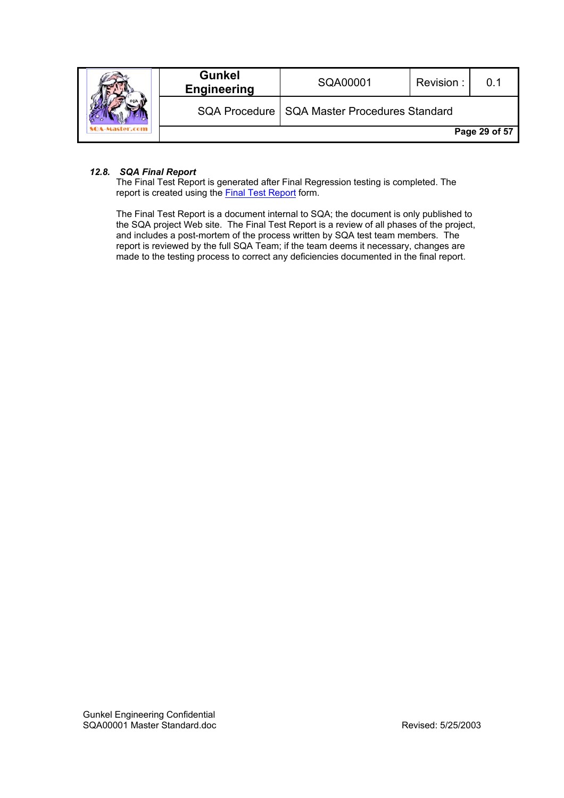|  | <b>Gunkel</b><br><b>Engineering</b> | SQA00001                                       | Revision: |               |
|--|-------------------------------------|------------------------------------------------|-----------|---------------|
|  |                                     | SQA Procedure   SQA Master Procedures Standard |           |               |
|  |                                     |                                                |           | Page 29 of 57 |

#### *12.8. SQA Final Report*

The Final Test Report is generated after Final Regression testing is completed. The report is created using the Final Test Report form.

The Final Test Report is a document internal to SQA; the document is only published to the SQA project Web site. The Final Test Report is a review of all phases of the project, and includes a post-mortem of the process written by SQA test team members. The report is reviewed by the full SQA Team; if the team deems it necessary, changes are made to the testing process to correct any deficiencies documented in the final report.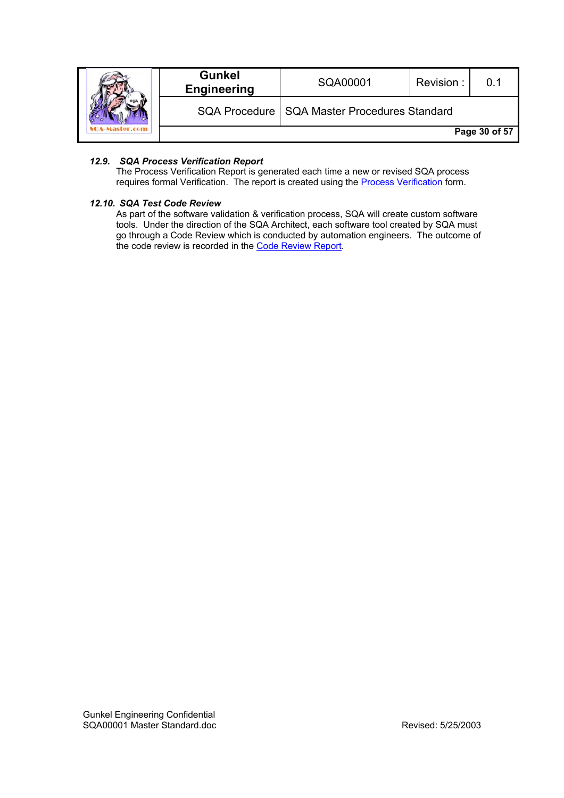|  | <b>Gunkel</b><br><b>Engineering</b> | SQA00001                                       | Revision: | 0.1           |
|--|-------------------------------------|------------------------------------------------|-----------|---------------|
|  |                                     | SQA Procedure   SQA Master Procedures Standard |           |               |
|  |                                     |                                                |           | Page 30 of 57 |

### *12.9. SQA Process Verification Report*

The Process Verification Report is generated each time a new or revised SQA process requires formal Verification. The report is created using the Process Verification form.

#### *12.10. SQA Test Code Review*

As part of the software validation & verification process, SQA will create custom software tools. Under the direction of the SQA Architect, each software tool created by SQA must go through a Code Review which is conducted by automation engineers. The outcome of the code review is recorded in the Code Review Report.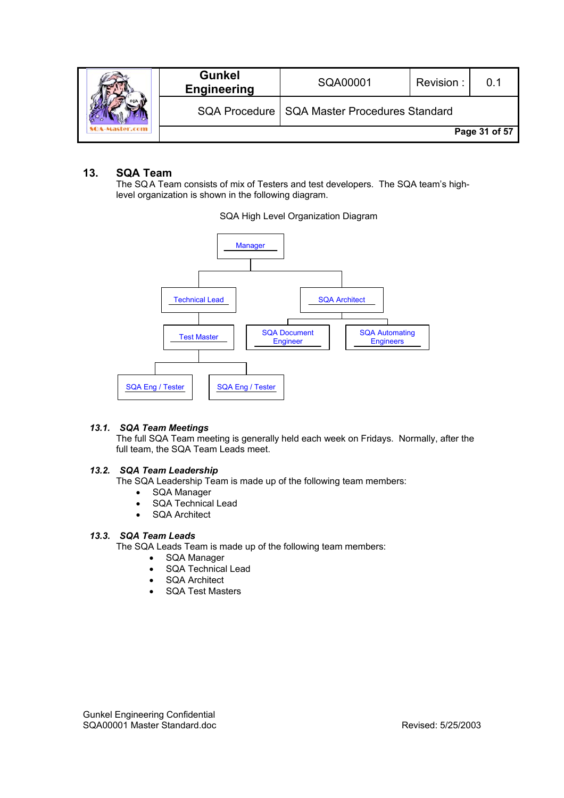|  | <b>Gunkel</b><br><b>Engineering</b> | SQA00001                                       | Revision: |               |
|--|-------------------------------------|------------------------------------------------|-----------|---------------|
|  |                                     | SQA Procedure   SQA Master Procedures Standard |           |               |
|  |                                     |                                                |           | Page 31 of 57 |

# **13. SQA Team**

The SQ A Team consists of mix of Testers and test developers. The SQA team's highlevel organization is shown in the following diagram.



SQA High Level Organization Diagram

#### *13.1. SQA Team Meetings*

The full SQA Team meeting is generally held each week on Fridays. Normally, after the full team, the SQA Team Leads meet.

#### *13.2. SQA Team Leadership*

The SQA Leadership Team is made up of the following team members:

- SQA Manager
- SQA Technical Lead
- SQA Architect

### *13.3. SQA Team Leads*

The SQA Leads Team is made up of the following team members:

- SQA Manager
- SQA Technical Lead
- SQA Architect
- SQA Test Masters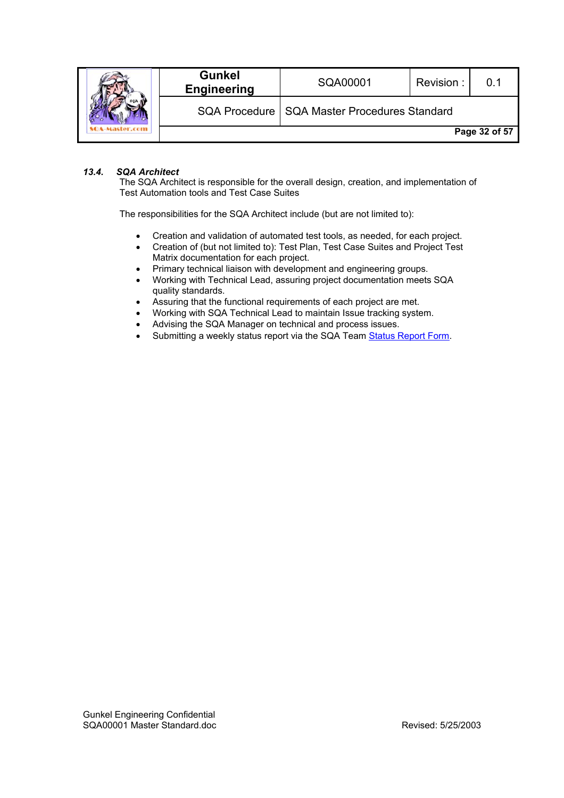|  | <b>Gunkel</b><br><b>Engineering</b> | SQA00001                                       | Revision: |               |
|--|-------------------------------------|------------------------------------------------|-----------|---------------|
|  |                                     | SQA Procedure   SQA Master Procedures Standard |           |               |
|  |                                     |                                                |           | Page 32 of 57 |

#### *13.4. SQA Architect*

The SQA Architect is responsible for the overall design, creation, and implementation of Test Automation tools and Test Case Suites

The responsibilities for the SQA Architect include (but are not limited to):

- Creation and validation of automated test tools, as needed, for each project.
- Creation of (but not limited to): Test Plan, Test Case Suites and Project Test Matrix documentation for each project.
- Primary technical liaison with development and engineering groups.
- Working with Technical Lead, assuring project documentation meets SQA quality standards.
- Assuring that the functional requirements of each project are met.
- Working with SQA Technical Lead to maintain Issue tracking system.
- Advising the SQA Manager on technical and process issues.
- Submitting a weekly status report via the SQA Team Status Report Form.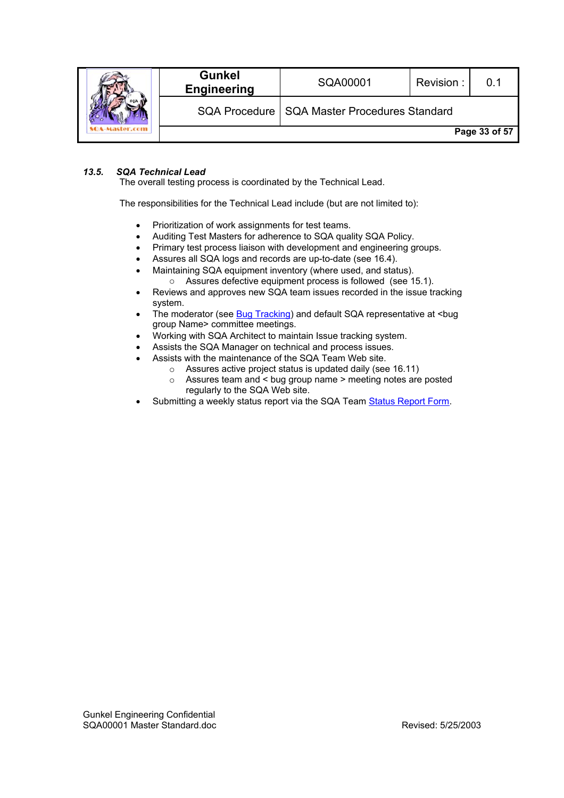|  | <b>Gunkel</b><br><b>Engineering</b> | SQA00001                                       | Revision: | . በ 1         |
|--|-------------------------------------|------------------------------------------------|-----------|---------------|
|  |                                     | SQA Procedure   SQA Master Procedures Standard |           |               |
|  |                                     |                                                |           | Page 33 of 57 |

### *13.5. SQA Technical Lead*

The overall testing process is coordinated by the Technical Lead.

The responsibilities for the Technical Lead include (but are not limited to):

- Prioritization of work assignments for test teams.
- Auditing Test Masters for adherence to SQA quality SQA Policy.
- Primary test process liaison with development and engineering groups.
- Assures all SQA logs and records are up-to-date (see 16.4).
- Maintaining SQA equipment inventory (where used, and status).
	- o Assures defective equipment process is followed (see 15.1).
- Reviews and approves new SQA team issues recorded in the issue tracking system.
- The moderator (see Bug Tracking) and default SQA representative at <br/>bug group Name> committee meetings.
- Working with SQA Architect to maintain Issue tracking system.
- Assists the SQA Manager on technical and process issues.
- Assists with the maintenance of the SQA Team Web site.
	- o Assures active project status is updated daily (see 16.11)
	- $\circ$  Assures team and  $\leq$  bug group name  $\geq$  meeting notes are posted regularly to the SQA Web site.
- Submitting a weekly status report via the SQA Team Status Report Form.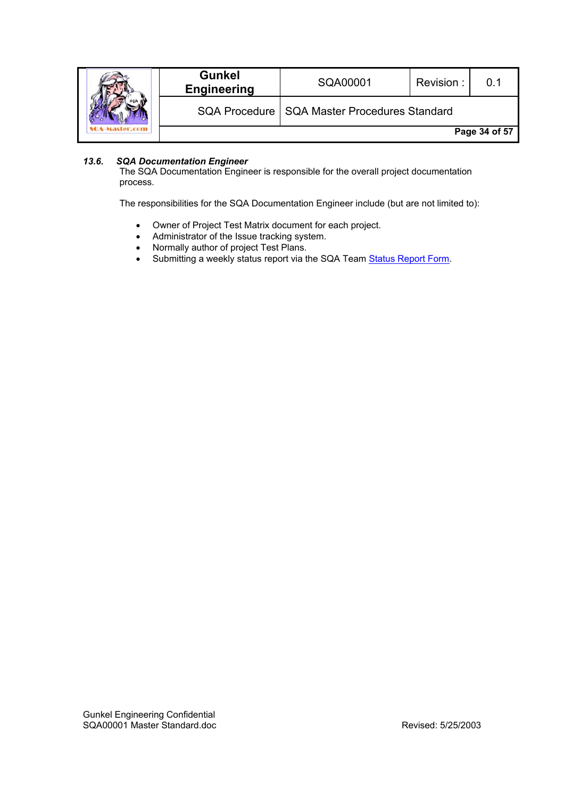|  | <b>Gunkel</b><br><b>Engineering</b> | SQA00001                                       | Revision: |               |
|--|-------------------------------------|------------------------------------------------|-----------|---------------|
|  |                                     | SQA Procedure   SQA Master Procedures Standard |           |               |
|  |                                     |                                                |           | Page 34 of 57 |

# *13.6. SQA Documentation Engineer*

The SQA Documentation Engineer is responsible for the overall project documentation process.

The responsibilities for the SQA Documentation Engineer include (but are not limited to):

- Owner of Project Test Matrix document for each project.
- Administrator of the Issue tracking system.
- Normally author of project Test Plans.
- Submitting a weekly status report via the SQA Team Status Report Form.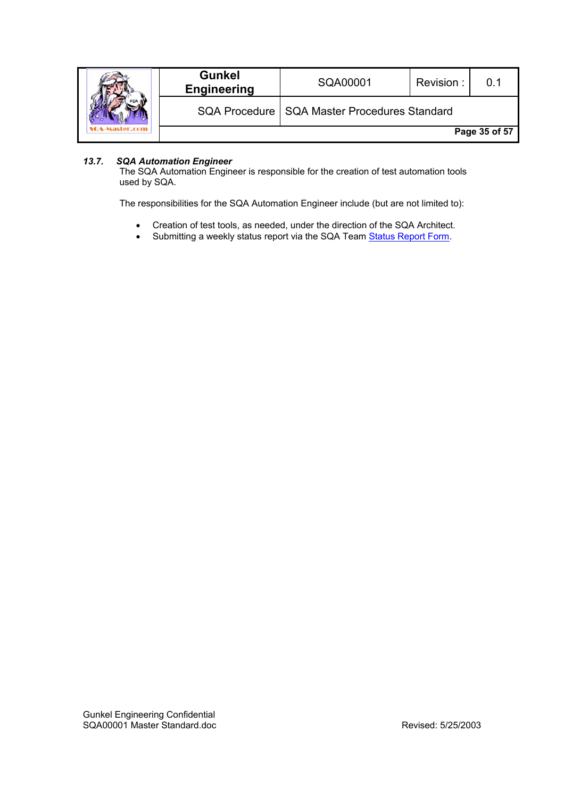|  | <b>Gunkel</b><br><b>Engineering</b> | SQA00001                                       | Revision: |               |
|--|-------------------------------------|------------------------------------------------|-----------|---------------|
|  |                                     | SQA Procedure   SQA Master Procedures Standard |           |               |
|  |                                     |                                                |           | Page 35 of 57 |

# *13.7. SQA Automation Engineer*

The SQA Automation Engineer is responsible for the creation of test automation tools used by SQA.

The responsibilities for the SQA Automation Engineer include (but are not limited to):

- Creation of test tools, as needed, under the direction of the SQA Architect.
- Submitting a weekly status report via the SQA Team Status Report Form.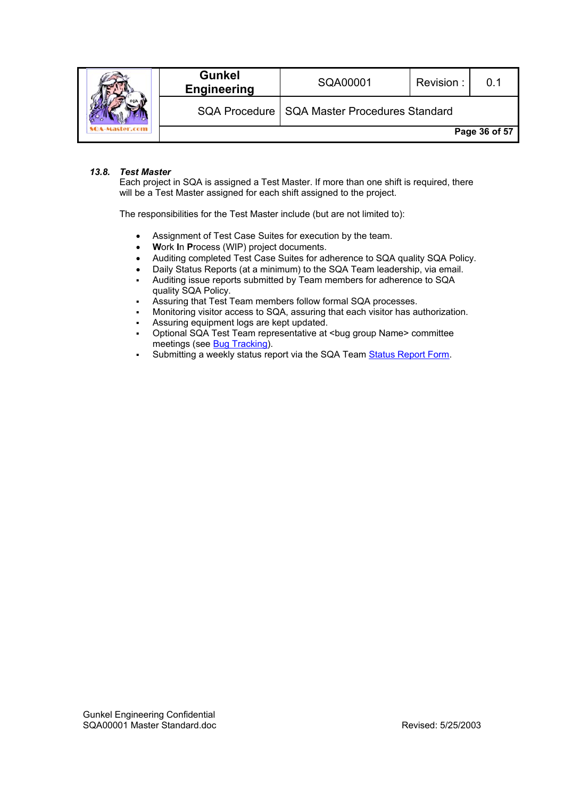|  | <b>Gunkel</b><br><b>Engineering</b> | SQA00001                                       | Revision: |               |
|--|-------------------------------------|------------------------------------------------|-----------|---------------|
|  |                                     | SQA Procedure   SQA Master Procedures Standard |           |               |
|  |                                     |                                                |           | Page 36 of 57 |

#### *13.8. Test Master*

Each project in SQA is assigned a Test Master. If more than one shift is required, there will be a Test Master assigned for each shift assigned to the project.

The responsibilities for the Test Master include (but are not limited to):

- Assignment of Test Case Suites for execution by the team.
- **W**ork **I**n **P**rocess (WIP) project documents.
- Auditing completed Test Case Suites for adherence to SQA quality SQA Policy.
- Daily Status Reports (at a minimum) to the SQA Team leadership, via email.
- Auditing issue reports submitted by Team members for adherence to SQA quality SQA Policy.
- Assuring that Test Team members follow formal SQA processes.
- Monitoring visitor access to SQA, assuring that each visitor has authorization.
- Assuring equipment logs are kept updated.
- Optional SQA Test Team representative at <bug group Name> committee meetings (see Bug Tracking).
- Submitting a weekly status report via the SQA Team Status Report Form.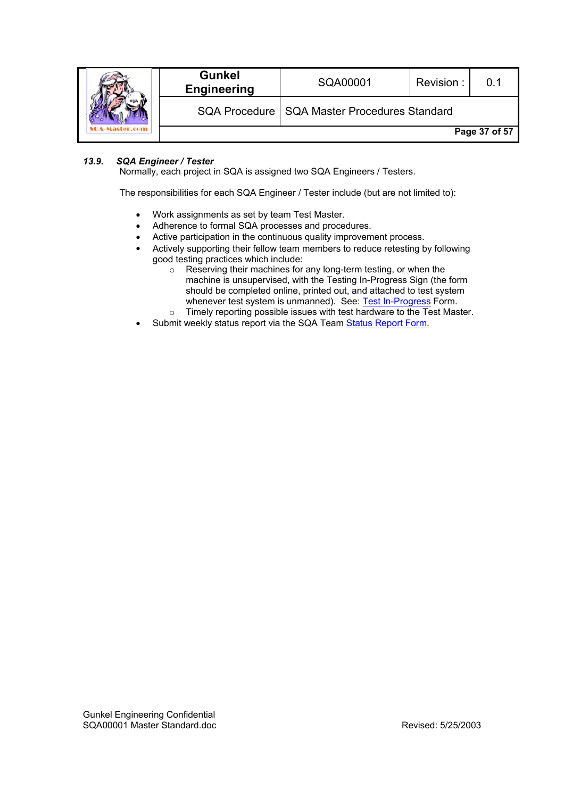|  | <b>Gunkel</b><br><b>Engineering</b> | SQA00001                                       | Revision: |               |
|--|-------------------------------------|------------------------------------------------|-----------|---------------|
|  |                                     | SQA Procedure   SQA Master Procedures Standard |           |               |
|  |                                     |                                                |           | Page 37 of 57 |

# *13.9. SQA Engineer / Tester*

Normally, each project in SQA is assigned two SQA Engineers / Testers.

The responsibilities for each SQA Engineer / Tester include (but are not limited to):

- Work assignments as set by team Test Master.
- Adherence to formal SQA processes and procedures.
- Active participation in the continuous quality improvement process.
- Actively supporting their fellow team members to reduce retesting by following good testing practices which include:<br>
o Reserving their machines for
	- Reserving their machines for any long-term testing, or when the machine is unsupervised, with the Testing In-Progress Sign (the form should be completed online, printed out, and attached to test system whenever test system is unmanned). See: Test In-Progress Form.
	- o Timely reporting possible issues with test hardware to the Test Master.
- Submit weekly status report via the SQA Team Status Report Form.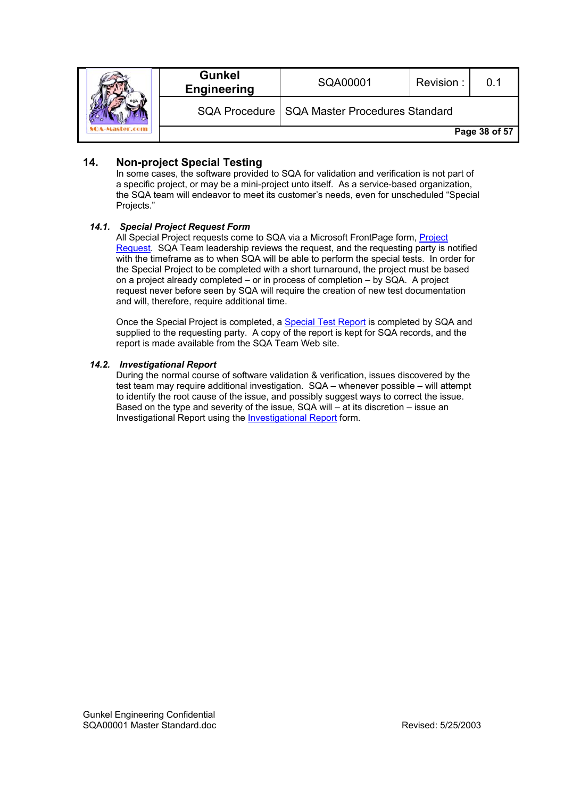|  | <b>Gunkel</b><br><b>Engineering</b> | SQA00001                                       | Revision: | 0.1           |
|--|-------------------------------------|------------------------------------------------|-----------|---------------|
|  |                                     | SQA Procedure   SQA Master Procedures Standard |           |               |
|  |                                     |                                                |           | Page 38 of 57 |

# **14. Non-project Special Testing**

In some cases, the software provided to SQA for validation and verification is not part of a specific project, or may be a mini-project unto itself. As a service-based organization, the SQA team will endeavor to meet its customer's needs, even for unscheduled "Special Projects."

#### *14.1. Special Project Request Form*

All Special Project requests come to SQA via a Microsoft FrontPage form, Project Request. SQA Team leadership reviews the request, and the requesting party is notified with the timeframe as to when SQA will be able to perform the special tests. In order for the Special Project to be completed with a short turnaround, the project must be based on a project already completed – or in process of completion – by SQA. A project request never before seen by SQA will require the creation of new test documentation and will, therefore, require additional time.

Once the Special Project is completed, a Special Test Report is completed by SQA and supplied to the requesting party. A copy of the report is kept for SQA records, and the report is made available from the SQA Team Web site.

#### *14.2. Investigational Report*

During the normal course of software validation & verification, issues discovered by the test team may require additional investigation. SQA – whenever possible – will attempt to identify the root cause of the issue, and possibly suggest ways to correct the issue. Based on the type and severity of the issue, SQA will – at its discretion – issue an Investigational Report using the Investigational Report form.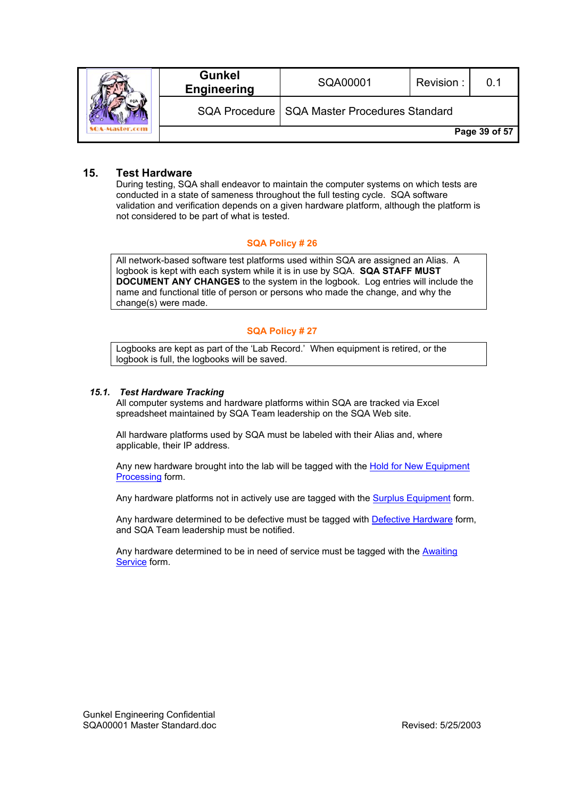|  | <b>Gunkel</b><br><b>Engineering</b> | SQA00001                                       | Revision: | ი 1           |
|--|-------------------------------------|------------------------------------------------|-----------|---------------|
|  |                                     | SQA Procedure   SQA Master Procedures Standard |           |               |
|  |                                     |                                                |           | Page 39 of 57 |

# **15. Test Hardware**

During testing, SQA shall endeavor to maintain the computer systems on which tests are conducted in a state of sameness throughout the full testing cycle. SQA software validation and verification depends on a given hardware platform, although the platform is not considered to be part of what is tested.

#### **SQA Policy # 26**

All network-based software test platforms used within SQA are assigned an Alias. A logbook is kept with each system while it is in use by SQA. **SQA STAFF MUST DOCUMENT ANY CHANGES** to the system in the logbook. Log entries will include the name and functional title of person or persons who made the change, and why the change(s) were made.

#### **SQA Policy # 27**

Logbooks are kept as part of the 'Lab Record.' When equipment is retired, or the logbook is full, the logbooks will be saved.

#### *15.1. Test Hardware Tracking*

All computer systems and hardware platforms within SQA are tracked via Excel spreadsheet maintained by SQA Team leadership on the SQA Web site.

All hardware platforms used by SQA must be labeled with their Alias and, where applicable, their IP address.

Any new hardware brought into the lab will be tagged with the Hold for New Equipment Processing form.

Any hardware platforms not in actively use are tagged with the **Surplus Equipment** form.

Any hardware determined to be defective must be tagged with **Defective Hardware** form, and SQA Team leadership must be notified.

Any hardware determined to be in need of service must be tagged with the Awaiting Service form.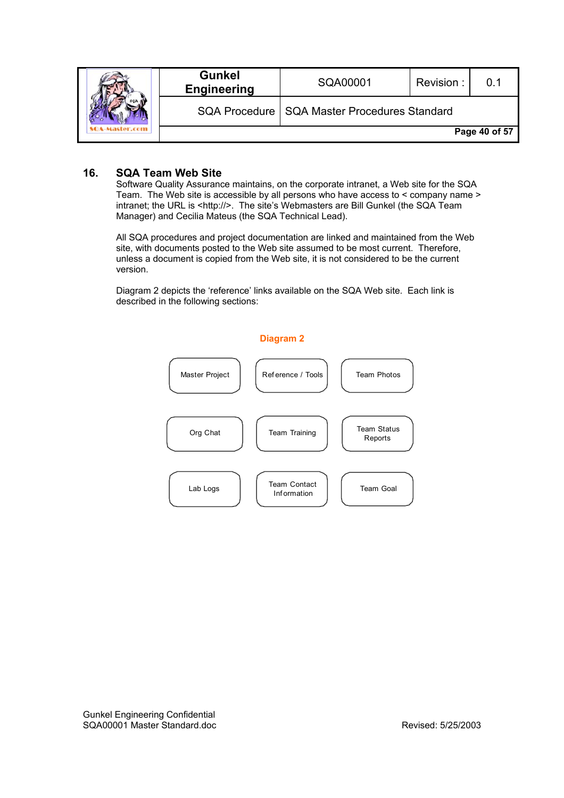|  | <b>Gunkel</b><br><b>Engineering</b> | SQA00001                                       | Revision: | ი 1           |
|--|-------------------------------------|------------------------------------------------|-----------|---------------|
|  |                                     | SQA Procedure   SQA Master Procedures Standard |           |               |
|  |                                     |                                                |           | Page 40 of 57 |

# **16. SQA Team Web Site**

Software Quality Assurance maintains, on the corporate intranet, a Web site for the SQA Team. The Web site is accessible by all persons who have access to < company name > intranet; the URL is <http://>. The site's Webmasters are Bill Gunkel (the SQA Team Manager) and Cecilia Mateus (the SQA Technical Lead).

All SQA procedures and project documentation are linked and maintained from the Web site, with documents posted to the Web site assumed to be most current. Therefore, unless a document is copied from the Web site, it is not considered to be the current version.

Diagram 2 depicts the 'reference' links available on the SQA Web site. Each link is described in the following sections:

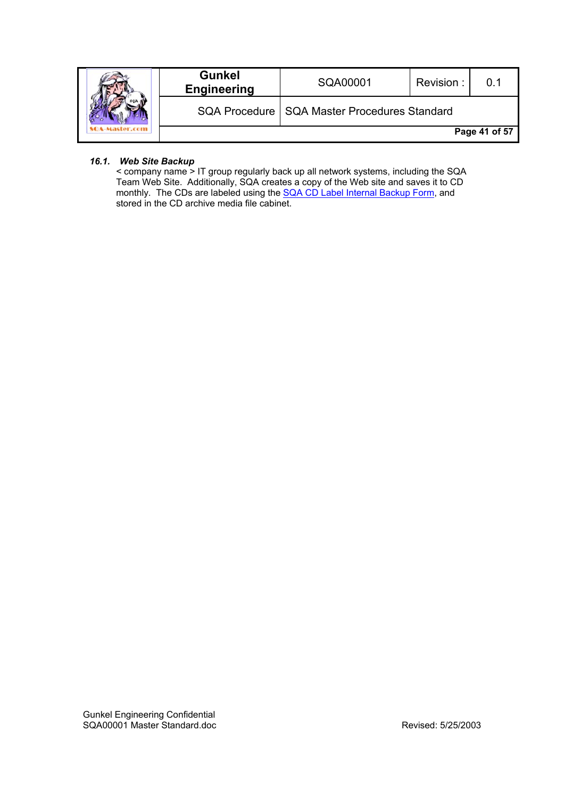|  | <b>Gunkel</b><br><b>Engineering</b> | SQA00001                                       | Revision: | ი 1           |
|--|-------------------------------------|------------------------------------------------|-----------|---------------|
|  |                                     | SQA Procedure   SQA Master Procedures Standard |           |               |
|  |                                     |                                                |           | Page 41 of 57 |

# *16.1. Web Site Backup*

< company name > IT group regularly back up all network systems, including the SQA Team Web Site. Additionally, SQA creates a copy of the Web site and saves it to CD monthly. The CDs are labeled using the **SQA CD Label Internal Backup Form**, and stored in the CD archive media file cabinet.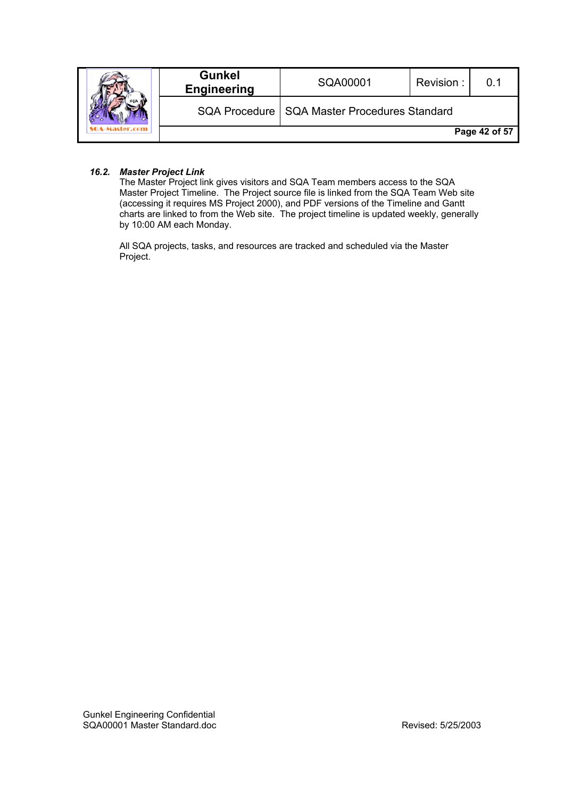|  | <b>Gunkel</b><br><b>Engineering</b> | SQA00001                                       | Revision: |               |
|--|-------------------------------------|------------------------------------------------|-----------|---------------|
|  |                                     | SQA Procedure   SQA Master Procedures Standard |           |               |
|  |                                     |                                                |           | Page 42 of 57 |

#### *16.2. Master Project Link*

The Master Project link gives visitors and SQA Team members access to the SQA Master Project Timeline. The Project source file is linked from the SQA Team Web site (accessing it requires MS Project 2000), and PDF versions of the Timeline and Gantt charts are linked to from the Web site. The project timeline is updated weekly, generally by 10:00 AM each Monday.

All SQA projects, tasks, and resources are tracked and scheduled via the Master Project.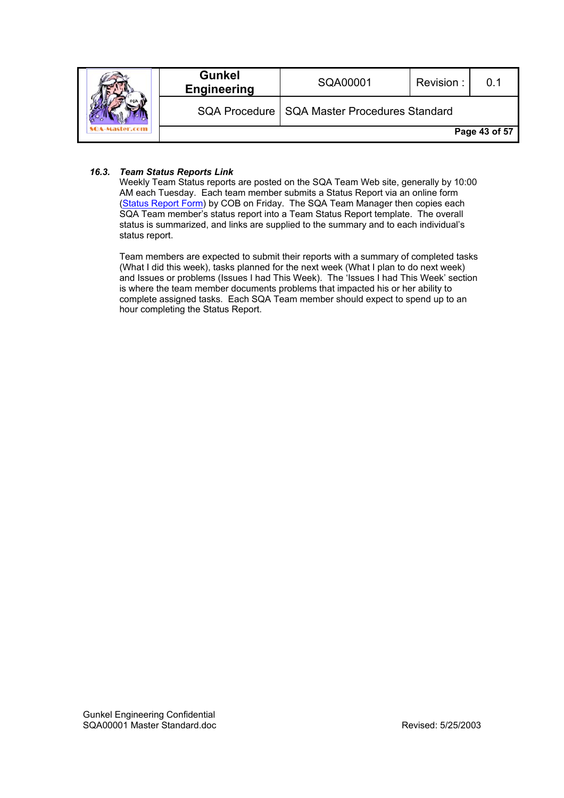|  | <b>Gunkel</b><br><b>Engineering</b> | SQA00001                                       | Revision: | ი 1           |
|--|-------------------------------------|------------------------------------------------|-----------|---------------|
|  |                                     | SQA Procedure   SQA Master Procedures Standard |           |               |
|  |                                     |                                                |           | Page 43 of 57 |

### *16.3. Team Status Reports Link*

Weekly Team Status reports are posted on the SQA Team Web site, generally by 10:00 AM each Tuesday. Each team member submits a Status Report via an online form (Status Report Form) by COB on Friday. The SQA Team Manager then copies each SQA Team member's status report into a Team Status Report template. The overall status is summarized, and links are supplied to the summary and to each individual's status report.

Team members are expected to submit their reports with a summary of completed tasks (What I did this week), tasks planned for the next week (What I plan to do next week) and Issues or problems (Issues I had This Week). The 'Issues I had This Week' section is where the team member documents problems that impacted his or her ability to complete assigned tasks. Each SQA Team member should expect to spend up to an hour completing the Status Report.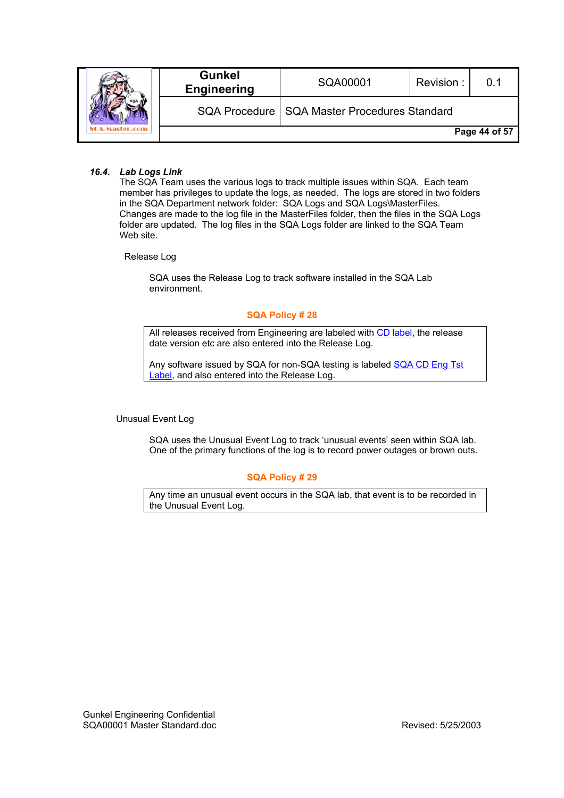|  | <b>Gunkel</b><br><b>Engineering</b> | SQA00001                                       | Revision: | 0.1           |
|--|-------------------------------------|------------------------------------------------|-----------|---------------|
|  |                                     | SQA Procedure   SQA Master Procedures Standard |           |               |
|  |                                     |                                                |           | Page 44 of 57 |

#### *16.4. Lab Logs Link*

The SQA Team uses the various logs to track multiple issues within SQA. Each team member has privileges to update the logs, as needed. The logs are stored in two folders in the SQA Department network folder: SQA Logs and SQA Logs\MasterFiles. Changes are made to the log file in the MasterFiles folder, then the files in the SQA Logs folder are updated. The log files in the SQA Logs folder are linked to the SQA Team Web site.

Release Log

SQA uses the Release Log to track software installed in the SQA Lab environment.

#### **SQA Policy # 28**

All releases received from Engineering are labeled with CD label, the release date version etc are also entered into the Release Log.

Any software issued by SQA for non-SQA testing is labeled SQA CD Eng Tst Label, and also entered into the Release Log.

Unusual Event Log

SQA uses the Unusual Event Log to track 'unusual events' seen within SQA lab. One of the primary functions of the log is to record power outages or brown outs.

#### **SQA Policy # 29**

Any time an unusual event occurs in the SQA lab, that event is to be recorded in the Unusual Event Log.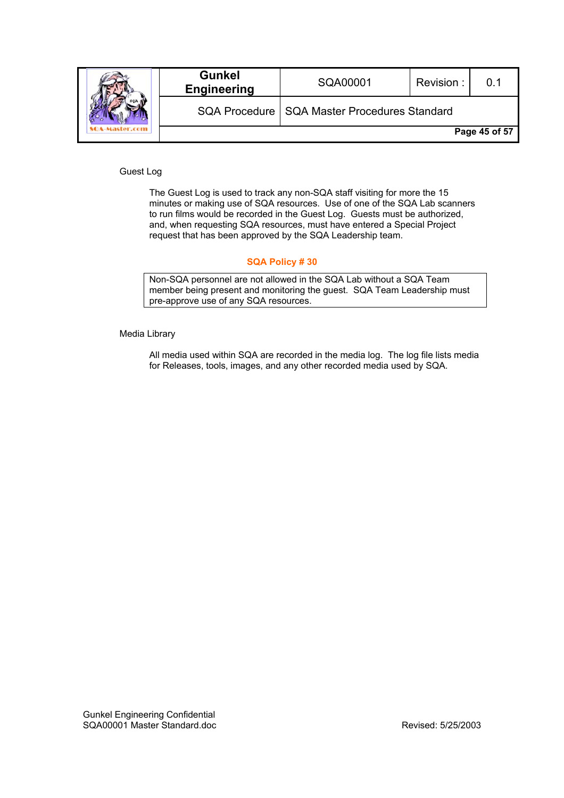|  | <b>Gunkel</b><br><b>Engineering</b> | SQA00001                                       | Revision: |               |
|--|-------------------------------------|------------------------------------------------|-----------|---------------|
|  |                                     | SQA Procedure   SQA Master Procedures Standard |           |               |
|  |                                     |                                                |           | Page 45 of 57 |

Guest Log

The Guest Log is used to track any non-SQA staff visiting for more the 15 minutes or making use of SQA resources. Use of one of the SQA Lab scanners to run films would be recorded in the Guest Log. Guests must be authorized, and, when requesting SQA resources, must have entered a Special Project request that has been approved by the SQA Leadership team.

#### **SQA Policy # 30**

Non-SQA personnel are not allowed in the SQA Lab without a SQA Team member being present and monitoring the guest. SQA Team Leadership must pre-approve use of any SQA resources.

Media Library

All media used within SQA are recorded in the media log. The log file lists media for Releases, tools, images, and any other recorded media used by SQA.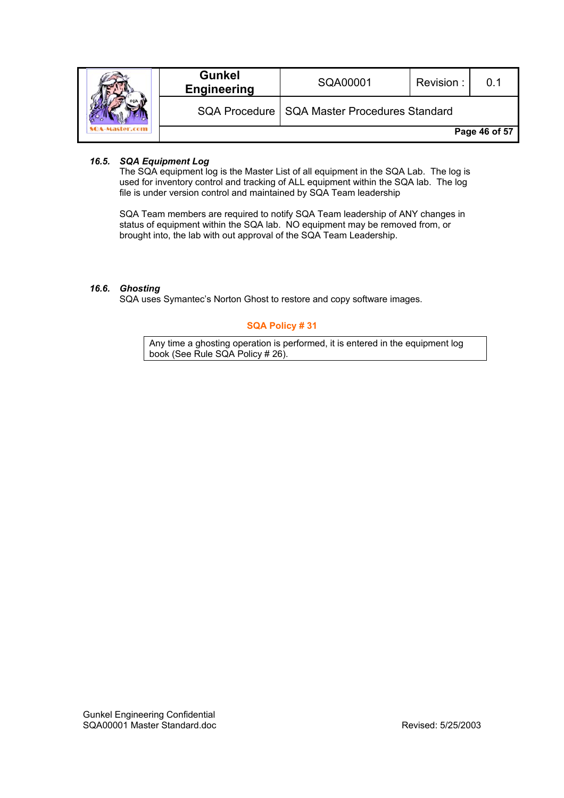|  | <b>Gunkel</b><br><b>Engineering</b> | SQA00001                                       | Revision: | 0.1           |
|--|-------------------------------------|------------------------------------------------|-----------|---------------|
|  |                                     | SQA Procedure   SQA Master Procedures Standard |           |               |
|  |                                     |                                                |           | Page 46 of 57 |

### *16.5. SQA Equipment Log*

The SQA equipment log is the Master List of all equipment in the SQA Lab. The log is used for inventory control and tracking of ALL equipment within the SQA lab. The log file is under version control and maintained by SQA Team leadership

SQA Team members are required to notify SQA Team leadership of ANY changes in status of equipment within the SQA lab. NO equipment may be removed from, or brought into, the lab with out approval of the SQA Team Leadership.

#### *16.6. Ghosting*

SQA uses Symantec's Norton Ghost to restore and copy software images.

# **SQA Policy # 31**

Any time a ghosting operation is performed, it is entered in the equipment log book (See Rule SQA Policy # 26).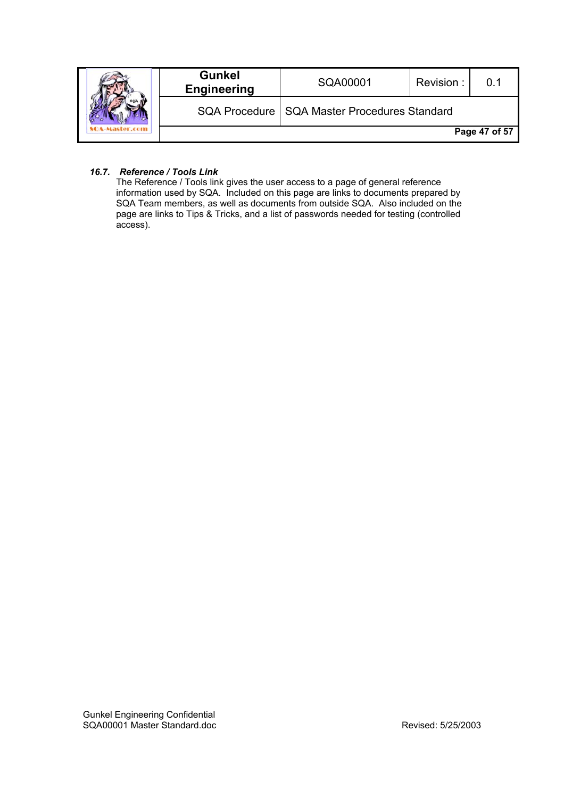|  | <b>Gunkel</b><br><b>Engineering</b> | SQA00001                                       | Revision: | በ 1           |
|--|-------------------------------------|------------------------------------------------|-----------|---------------|
|  |                                     | SQA Procedure   SQA Master Procedures Standard |           |               |
|  |                                     |                                                |           | Page 47 of 57 |

### *16.7. Reference / Tools Link*

The Reference / Tools link gives the user access to a page of general reference information used by SQA. Included on this page are links to documents prepared by SQA Team members, as well as documents from outside SQA. Also included on the page are links to Tips & Tricks, and a list of passwords needed for testing (controlled access).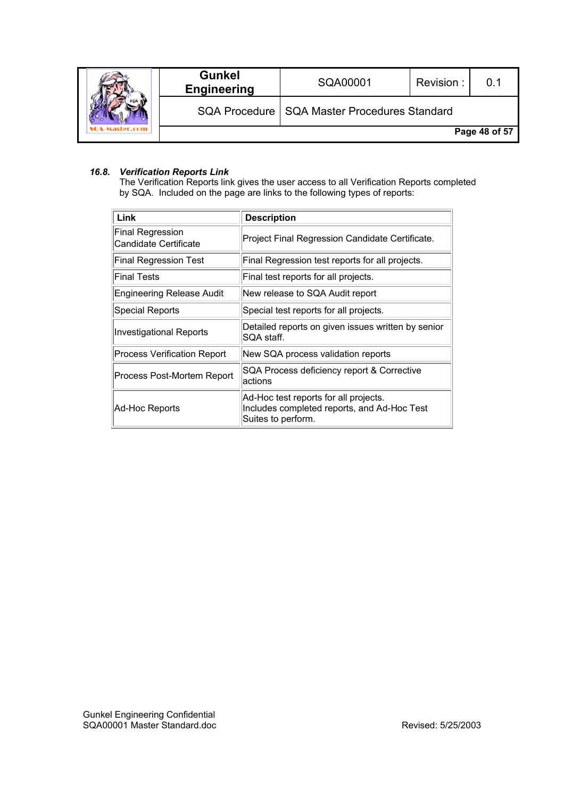|  | <b>Gunkel</b><br><b>Engineering</b> | SQA00001                                       | Revision: |               |
|--|-------------------------------------|------------------------------------------------|-----------|---------------|
|  |                                     | SQA Procedure   SQA Master Procedures Standard |           |               |
|  |                                     |                                                |           | Page 48 of 57 |

# *16.8. Verification Reports Link*

The Verification Reports link gives the user access to all Verification Reports completed by SQA. Included on the page are links to the following types of reports:

| Link                                             | <b>Description</b>                                                                                         |
|--------------------------------------------------|------------------------------------------------------------------------------------------------------------|
| <b>Final Regression</b><br>Candidate Certificate | Project Final Regression Candidate Certificate.                                                            |
| <b>Final Regression Test</b>                     | Final Regression test reports for all projects.                                                            |
| <b>Final Tests</b>                               | Final test reports for all projects.                                                                       |
| <b>Engineering Release Audit</b>                 | New release to SQA Audit report                                                                            |
| <b>Special Reports</b>                           | Special test reports for all projects.                                                                     |
| <b>Investigational Reports</b>                   | Detailed reports on given issues written by senior<br>SQA staff.                                           |
| <b>Process Verification Report</b>               | New SQA process validation reports                                                                         |
| Process Post-Mortem Report                       | SQA Process deficiency report & Corrective<br>actions                                                      |
| Ad-Hoc Reports                                   | Ad-Hoc test reports for all projects.<br>Includes completed reports, and Ad-Hoc Test<br>Suites to perform. |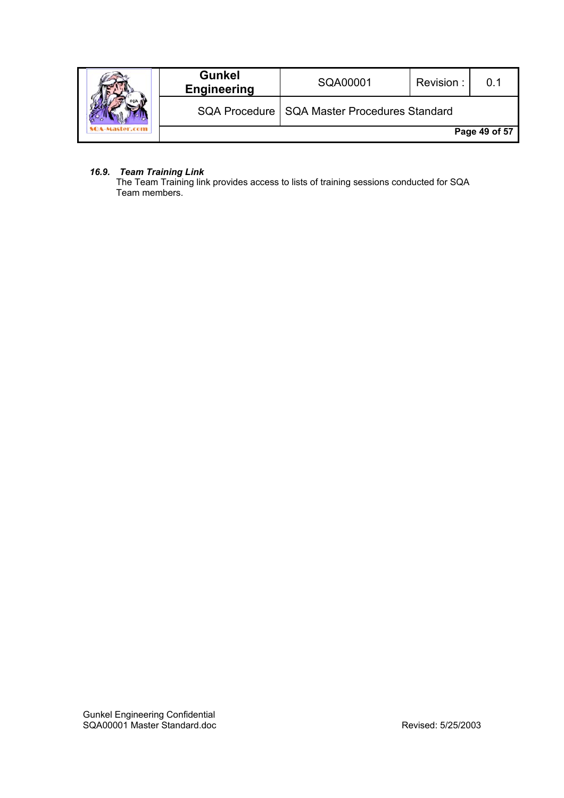|  | <b>Gunkel</b><br><b>Engineering</b> | SQA00001                                       | Revision: |               |
|--|-------------------------------------|------------------------------------------------|-----------|---------------|
|  |                                     | SQA Procedure   SQA Master Procedures Standard |           |               |
|  |                                     |                                                |           | Page 49 of 57 |

### *16.9. Team Training Link*

The Team Training link provides access to lists of training sessions conducted for SQA Team members.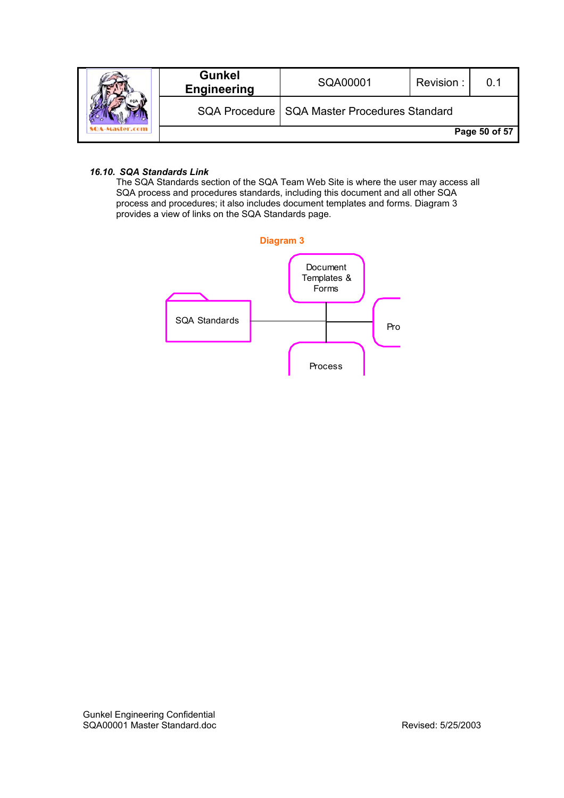|  | <b>Gunkel</b><br><b>Engineering</b> | SQA00001                                       | Revision: |               |
|--|-------------------------------------|------------------------------------------------|-----------|---------------|
|  |                                     | SQA Procedure   SQA Master Procedures Standard |           |               |
|  |                                     |                                                |           | Page 50 of 57 |

# *16.10. SQA Standards Link*

The SQA Standards section of the SQA Team Web Site is where the user may access all SQA process and procedures standards, including this document and all other SQA process and procedures; it also includes document templates and forms. Diagram 3 provides a view of links on the SQA Standards page.

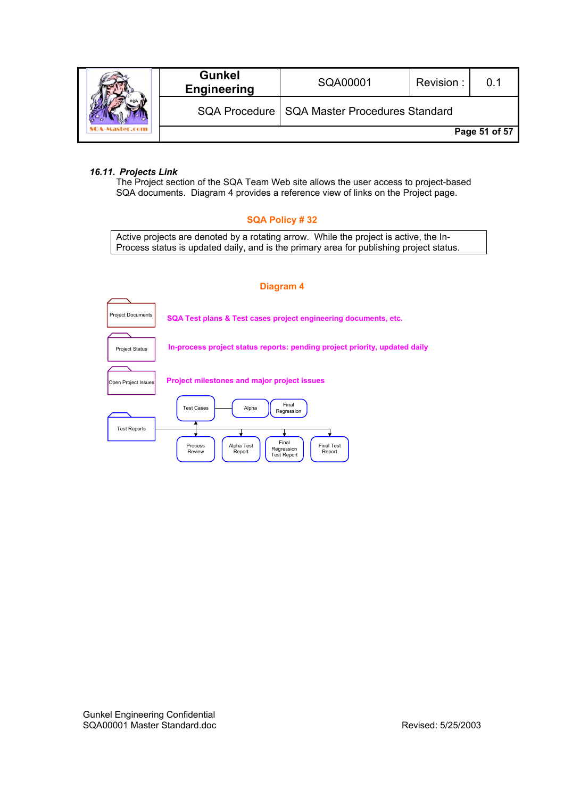|  | <b>Gunkel</b><br><b>Engineering</b> | SQA00001                                       | Revision: | 0.1           |
|--|-------------------------------------|------------------------------------------------|-----------|---------------|
|  |                                     | SQA Procedure   SQA Master Procedures Standard |           |               |
|  |                                     |                                                |           | Page 51 of 57 |

#### *16.11. Projects Link*

The Project section of the SQA Team Web site allows the user access to project-based SQA documents. Diagram 4 provides a reference view of links on the Project page.

#### **SQA Policy # 32**

Active projects are denoted by a rotating arrow. While the project is active, the In-Process status is updated daily, and is the primary area for publishing project status.

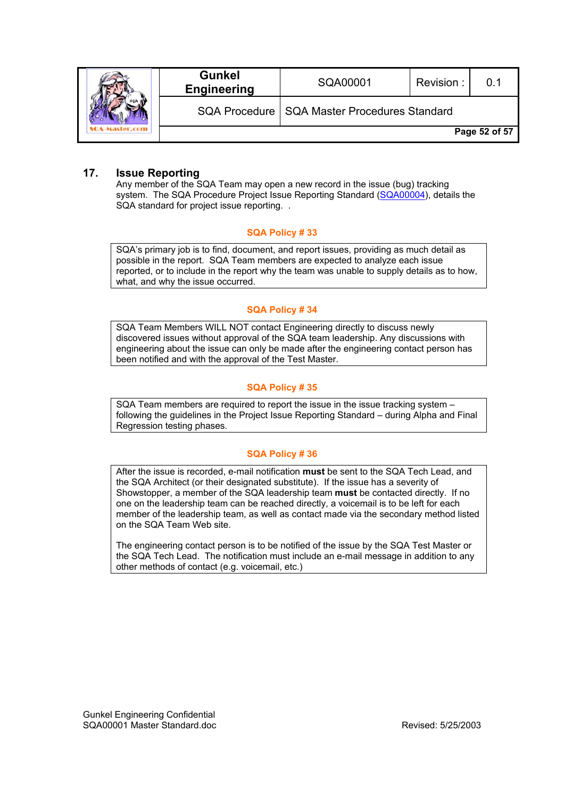|  | <b>Gunkel</b><br><b>Engineering</b> | SQA00001                                       | Revision: | ი 1           |
|--|-------------------------------------|------------------------------------------------|-----------|---------------|
|  |                                     | SQA Procedure   SQA Master Procedures Standard |           |               |
|  |                                     |                                                |           | Page 52 of 57 |

# **17. Issue Reporting**

Any member of the SQA Team may open a new record in the issue (bug) tracking system. The SQA Procedure Project Issue Reporting Standard (SQA00004), details the SQA standard for project issue reporting. .

#### **SQA Policy # 33**

SQA's primary job is to find, document, and report issues, providing as much detail as possible in the report. SQA Team members are expected to analyze each issue reported, or to include in the report why the team was unable to supply details as to how, what, and why the issue occurred.

# **SQA Policy # 34**

SQA Team Members WILL NOT contact Engineering directly to discuss newly discovered issues without approval of the SQA team leadership. Any discussions with engineering about the issue can only be made after the engineering contact person has been notified and with the approval of the Test Master.

# **SQA Policy # 35**

SQA Team members are required to report the issue in the issue tracking system – following the guidelines in the Project Issue Reporting Standard – during Alpha and Final Regression testing phases.

# **SQA Policy # 36**

After the issue is recorded, e-mail notification **must** be sent to the SQA Tech Lead, and the SQA Architect (or their designated substitute). If the issue has a severity of Showstopper, a member of the SQA leadership team **must** be contacted directly. If no one on the leadership team can be reached directly, a voicemail is to be left for each member of the leadership team, as well as contact made via the secondary method listed on the SQA Team Web site.

The engineering contact person is to be notified of the issue by the SQA Test Master or the SQA Tech Lead. The notification must include an e-mail message in addition to any other methods of contact (e.g. voicemail, etc.)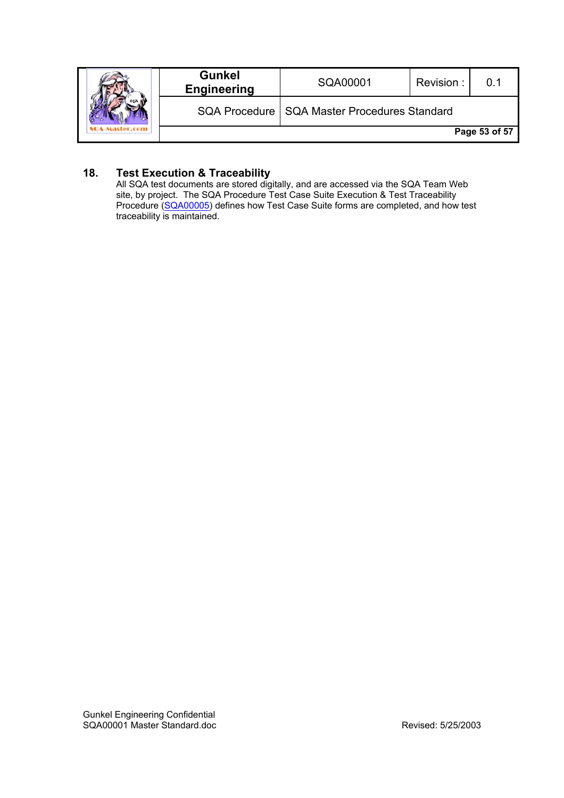|  | <b>Gunkel</b><br><b>Engineering</b> | SQA00001                                       | Revision: |               |
|--|-------------------------------------|------------------------------------------------|-----------|---------------|
|  |                                     | SQA Procedure   SQA Master Procedures Standard |           |               |
|  |                                     |                                                |           | Page 53 of 57 |

# **18. Test Execution & Traceability**

All SQA test documents are stored digitally, and are accessed via the SQA Team Web site, by project. The SQA Procedure Test Case Suite Execution & Test Traceability Procedure (SQA00005) defines how Test Case Suite forms are completed, and how test traceability is maintained.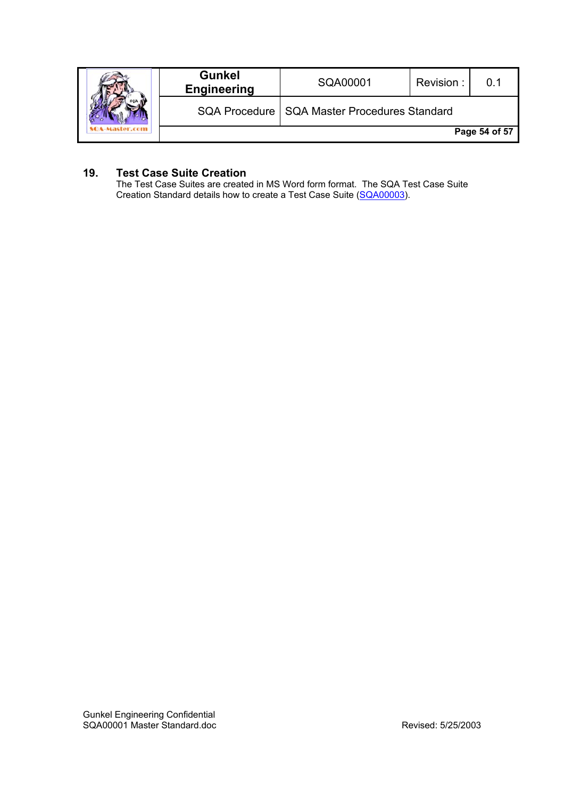|  | <b>Gunkel</b><br><b>Engineering</b> | SQA00001                                       | Revision: |               |
|--|-------------------------------------|------------------------------------------------|-----------|---------------|
|  |                                     | SQA Procedure   SQA Master Procedures Standard |           |               |
|  |                                     |                                                |           | Page 54 of 57 |

# **19. Test Case Suite Creation**

The Test Case Suites are created in MS Word form format. The SQA Test Case Suite Creation Standard details how to create a Test Case Suite (SQA00003).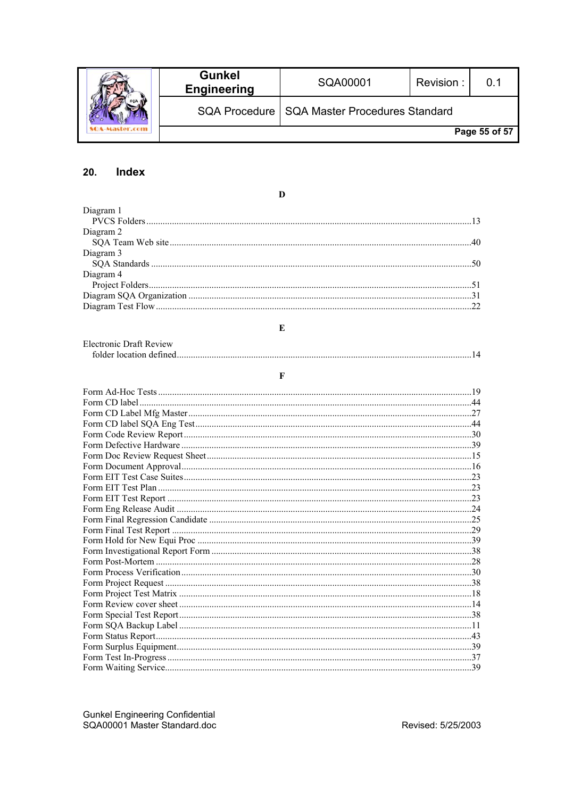|  | <b>Gunkel</b><br><b>Engineering</b> | SQA00001                                       | Revision: | ი 1           |
|--|-------------------------------------|------------------------------------------------|-----------|---------------|
|  |                                     | SQA Procedure   SQA Master Procedures Standard |           |               |
|  |                                     |                                                |           | Page 55 of 57 |

#### $20.$ Index

Diagram 1 Diagram 2 Diagram 3 Diagram 4 

 $\mathbf{D}$ 

| Electronic Draft Review |  |
|-------------------------|--|
|                         |  |

 $\mathbf E$ 

 $\overline{\mathbf{F}}$ 

| Form CD label. |  |
|----------------|--|
|                |  |
|                |  |
|                |  |
|                |  |
|                |  |
|                |  |
|                |  |
|                |  |
|                |  |
|                |  |
|                |  |
|                |  |
|                |  |
|                |  |
|                |  |
|                |  |
|                |  |
|                |  |
|                |  |
|                |  |
|                |  |
|                |  |
|                |  |
|                |  |
|                |  |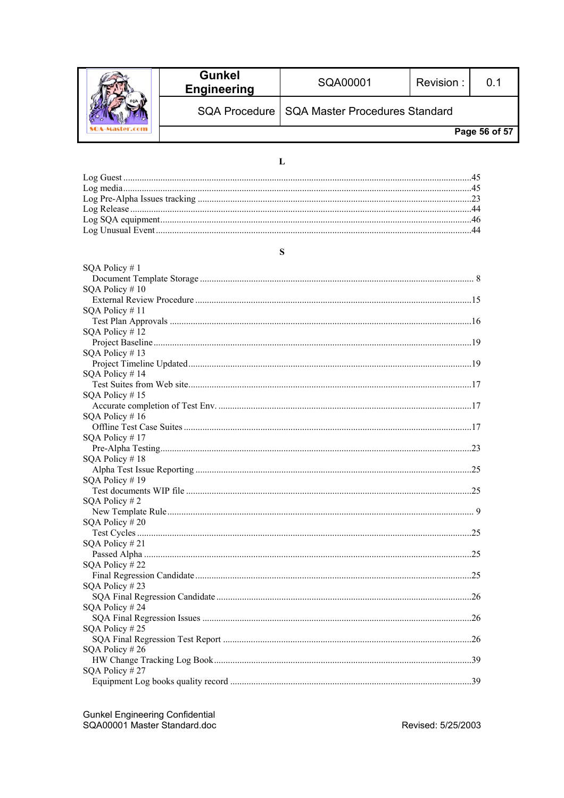|  | <b>Gunkel</b><br><b>Engineering</b> | SQA00001                                       | Revision: | 0 1           |
|--|-------------------------------------|------------------------------------------------|-----------|---------------|
|  |                                     | SQA Procedure   SQA Master Procedures Standard |           |               |
|  |                                     |                                                |           | Page 56 of 57 |

# $\mathbf{L}$

# $\mathbf S$

| SQA Policy #1    |  |
|------------------|--|
| SQA Policy #10   |  |
|                  |  |
| SQA Policy #11   |  |
|                  |  |
| SQA Policy #12   |  |
|                  |  |
| SQA Policy #13   |  |
|                  |  |
| SQA Policy #14   |  |
|                  |  |
| SQA Policy #15   |  |
|                  |  |
| SQA Policy #16   |  |
|                  |  |
| SQA Policy #17   |  |
|                  |  |
| SQA Policy #18   |  |
|                  |  |
| SQA Policy #19   |  |
|                  |  |
| SQA Policy $#2$  |  |
|                  |  |
| SQA Policy #20   |  |
|                  |  |
| SQA Policy #21   |  |
|                  |  |
| SQA Policy #22   |  |
|                  |  |
| SQA Policy $#23$ |  |
|                  |  |
| SQA Policy #24   |  |
|                  |  |
| SQA Policy #25   |  |
|                  |  |
| SQA Policy #26   |  |
|                  |  |
| SQA Policy #27   |  |
|                  |  |